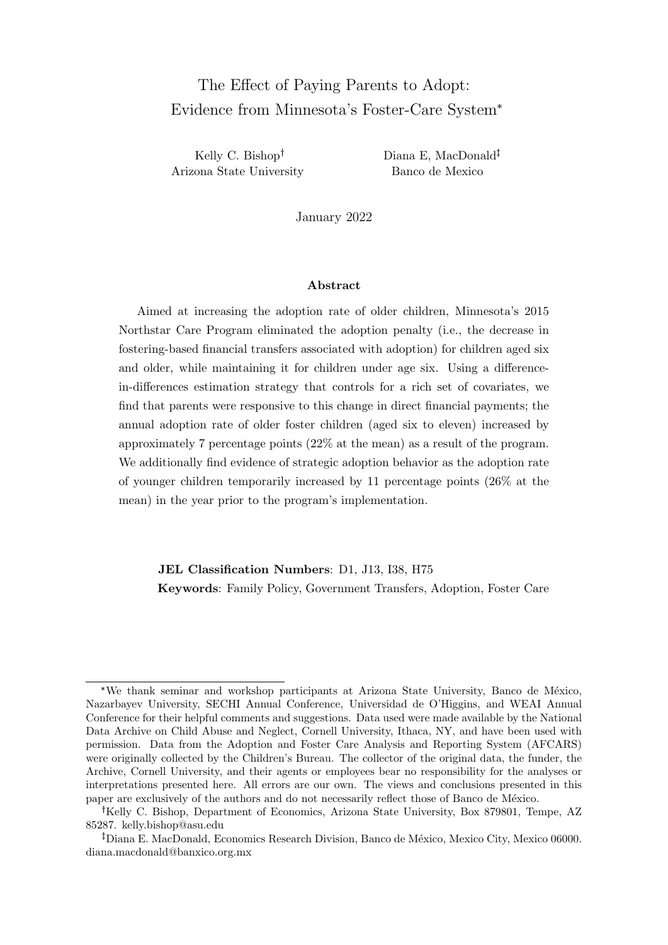# The Effect of Paying Parents to Adopt: Evidence from Minnesota's Foster-Care System\*

Kelly C. Bishop Arizona State University Diana E, MacDonald Banco de Mexico

January 2022

#### Abstract

Aimed at increasing the adoption rate of older children, Minnesota's 2015 Northstar Care Program eliminated the adoption penalty (i.e., the decrease in fostering-based financial transfers associated with adoption) for children aged six and older, while maintaining it for children under age six. Using a differencein-differences estimation strategy that controls for a rich set of covariates, we find that parents were responsive to this change in direct financial payments; the annual adoption rate of older foster children (aged six to eleven) increased by approximately 7 percentage points (22% at the mean) as a result of the program. We additionally find evidence of strategic adoption behavior as the adoption rate of younger children temporarily increased by 11 percentage points (26% at the mean) in the year prior to the program's implementation.

JEL Classification Numbers: D1, J13, I38, H75 Keywords: Family Policy, Government Transfers, Adoption, Foster Care

<sup>\*</sup>We thank seminar and workshop participants at Arizona State University, Banco de México, Nazarbayev University, SECHI Annual Conference, Universidad de O'Higgins, and WEAI Annual Conference for their helpful comments and suggestions. Data used were made available by the National Data Archive on Child Abuse and Neglect, Cornell University, Ithaca, NY, and have been used with permission. Data from the Adoption and Foster Care Analysis and Reporting System (AFCARS) were originally collected by the Children's Bureau. The collector of the original data, the funder, the Archive, Cornell University, and their agents or employees bear no responsibility for the analyses or interpretations presented here. All errors are our own. The views and conclusions presented in this paper are exclusively of the authors and do not necessarily reflect those of Banco de México.

<sup>&</sup>lt;sup>†</sup>Kelly C. Bishop, Department of Economics, Arizona State University, Box 879801, Tempe, AZ 85287. kelly.bishop@asu.edu

<sup>&</sup>lt;sup>‡</sup>Diana E. MacDonald, Economics Research Division, Banco de México, Mexico City, Mexico 06000. diana.macdonald@banxico.org.mx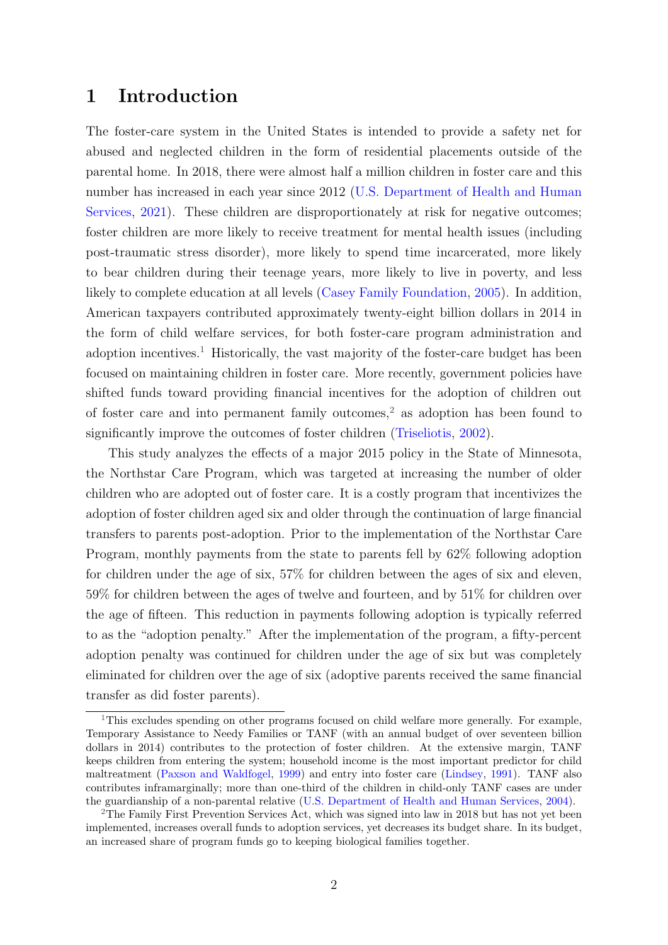## 1 Introduction

The foster-care system in the United States is intended to provide a safety net for abused and neglected children in the form of residential placements outside of the parental home. In 2018, there were almost half a million children in foster care and this number has increased in each year since 2012 [\(U.S. Department of Health and Human](#page-18-0) [Services,](#page-18-0) [2021\)](#page-18-0). These children are disproportionately at risk for negative outcomes; foster children are more likely to receive treatment for mental health issues (including post-traumatic stress disorder), more likely to spend time incarcerated, more likely to bear children during their teenage years, more likely to live in poverty, and less likely to complete education at all levels [\(Casey Family Foundation,](#page-16-0) [2005\)](#page-16-0). In addition, American taxpayers contributed approximately twenty-eight billion dollars in 2014 in the form of child welfare services, for both foster-care program administration and adoption incentives.<sup>[1](#page-1-0)</sup> Historically, the vast majority of the foster-care budget has been focused on maintaining children in foster care. More recently, government policies have shifted funds toward providing financial incentives for the adoption of children out of foster care and into permanent family outcomes,<sup>[2](#page-1-1)</sup> as adoption has been found to significantly improve the outcomes of foster children [\(Triseliotis,](#page-18-1) [2002\)](#page-18-1).

This study analyzes the effects of a major 2015 policy in the State of Minnesota, the Northstar Care Program, which was targeted at increasing the number of older children who are adopted out of foster care. It is a costly program that incentivizes the adoption of foster children aged six and older through the continuation of large financial transfers to parents post-adoption. Prior to the implementation of the Northstar Care Program, monthly payments from the state to parents fell by 62% following adoption for children under the age of six, 57% for children between the ages of six and eleven, 59% for children between the ages of twelve and fourteen, and by 51% for children over the age of fifteen. This reduction in payments following adoption is typically referred to as the "adoption penalty." After the implementation of the program, a fifty-percent adoption penalty was continued for children under the age of six but was completely eliminated for children over the age of six (adoptive parents received the same financial transfer as did foster parents).

<span id="page-1-0"></span><sup>1</sup>This excludes spending on other programs focused on child welfare more generally. For example, Temporary Assistance to Needy Families or TANF (with an annual budget of over seventeen billion dollars in 2014) contributes to the protection of foster children. At the extensive margin, TANF keeps children from entering the system; household income is the most important predictor for child maltreatment [\(Paxson and Waldfogel,](#page-18-2) [1999\)](#page-18-2) and entry into foster care [\(Lindsey,](#page-17-0) [1991\)](#page-17-0). TANF also contributes inframarginally; more than one-third of the children in child-only TANF cases are under the guardianship of a non-parental relative [\(U.S. Department of Health and Human Services,](#page-18-3) [2004\)](#page-18-3).

<span id="page-1-1"></span><sup>2</sup>The Family First Prevention Services Act, which was signed into law in 2018 but has not yet been implemented, increases overall funds to adoption services, yet decreases its budget share. In its budget, an increased share of program funds go to keeping biological families together.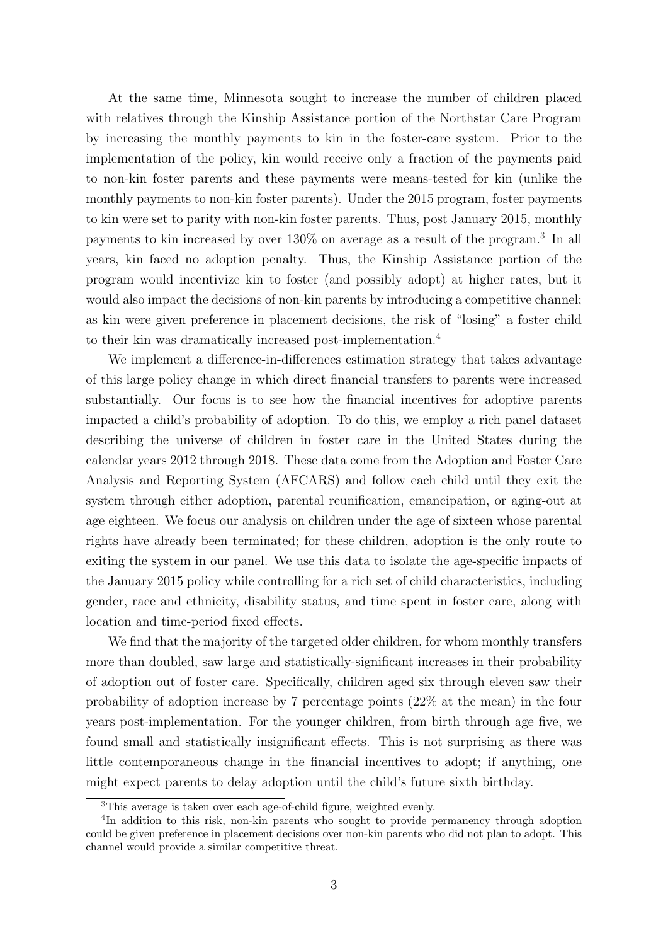At the same time, Minnesota sought to increase the number of children placed with relatives through the Kinship Assistance portion of the Northstar Care Program by increasing the monthly payments to kin in the foster-care system. Prior to the implementation of the policy, kin would receive only a fraction of the payments paid to non-kin foster parents and these payments were means-tested for kin (unlike the monthly payments to non-kin foster parents). Under the 2015 program, foster payments to kin were set to parity with non-kin foster parents. Thus, post January 2015, monthly payments to kin increased by over 130% on average as a result of the program.[3](#page-2-0) In all years, kin faced no adoption penalty. Thus, the Kinship Assistance portion of the program would incentivize kin to foster (and possibly adopt) at higher rates, but it would also impact the decisions of non-kin parents by introducing a competitive channel; as kin were given preference in placement decisions, the risk of "losing" a foster child to their kin was dramatically increased post-implementation.<sup>[4](#page-2-1)</sup>

We implement a difference-in-differences estimation strategy that takes advantage of this large policy change in which direct financial transfers to parents were increased substantially. Our focus is to see how the financial incentives for adoptive parents impacted a child's probability of adoption. To do this, we employ a rich panel dataset describing the universe of children in foster care in the United States during the calendar years 2012 through 2018. These data come from the Adoption and Foster Care Analysis and Reporting System (AFCARS) and follow each child until they exit the system through either adoption, parental reunification, emancipation, or aging-out at age eighteen. We focus our analysis on children under the age of sixteen whose parental rights have already been terminated; for these children, adoption is the only route to exiting the system in our panel. We use this data to isolate the age-specific impacts of the January 2015 policy while controlling for a rich set of child characteristics, including gender, race and ethnicity, disability status, and time spent in foster care, along with location and time-period fixed effects.

We find that the majority of the targeted older children, for whom monthly transfers more than doubled, saw large and statistically-significant increases in their probability of adoption out of foster care. Specifically, children aged six through eleven saw their probability of adoption increase by 7 percentage points (22% at the mean) in the four years post-implementation. For the younger children, from birth through age five, we found small and statistically insignificant effects. This is not surprising as there was little contemporaneous change in the financial incentives to adopt; if anything, one might expect parents to delay adoption until the child's future sixth birthday.

<span id="page-2-1"></span><span id="page-2-0"></span><sup>3</sup>This average is taken over each age-of-child figure, weighted evenly.

<sup>&</sup>lt;sup>4</sup>In addition to this risk, non-kin parents who sought to provide permanency through adoption could be given preference in placement decisions over non-kin parents who did not plan to adopt. This channel would provide a similar competitive threat.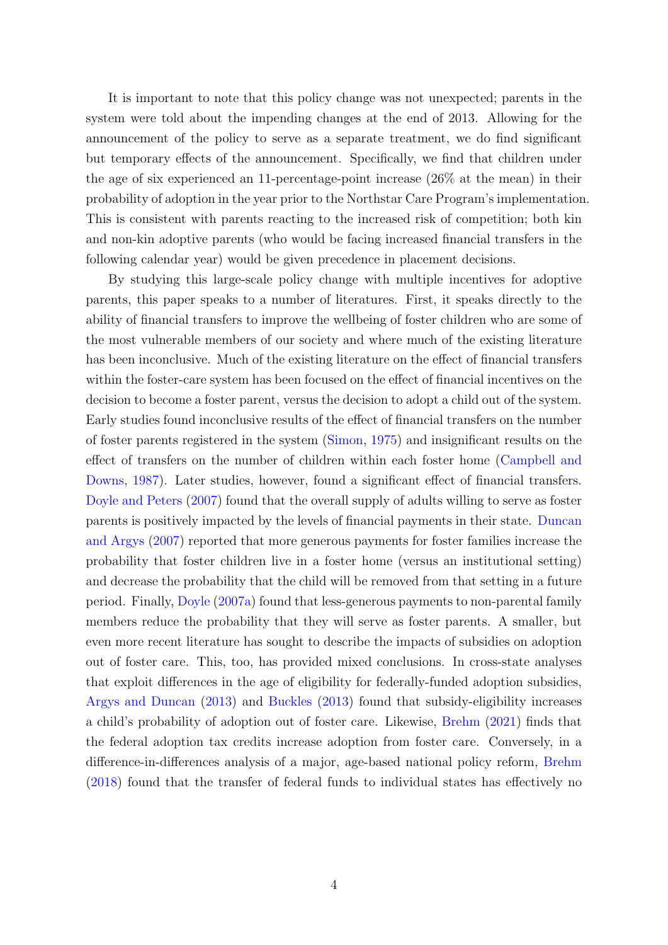It is important to note that this policy change was not unexpected; parents in the system were told about the impending changes at the end of 2013. Allowing for the announcement of the policy to serve as a separate treatment, we do find significant but temporary effects of the announcement. Specifically, we find that children under the age of six experienced an 11-percentage-point increase (26% at the mean) in their probability of adoption in the year prior to the Northstar Care Program's implementation. This is consistent with parents reacting to the increased risk of competition; both kin and non-kin adoptive parents (who would be facing increased financial transfers in the following calendar year) would be given precedence in placement decisions.

By studying this large-scale policy change with multiple incentives for adoptive parents, this paper speaks to a number of literatures. First, it speaks directly to the ability of financial transfers to improve the wellbeing of foster children who are some of the most vulnerable members of our society and where much of the existing literature has been inconclusive. Much of the existing literature on the effect of financial transfers within the foster-care system has been focused on the effect of financial incentives on the decision to become a foster parent, versus the decision to adopt a child out of the system. Early studies found inconclusive results of the effect of financial transfers on the number of foster parents registered in the system [\(Simon,](#page-18-4) [1975\)](#page-18-4) and insignificant results on the effect of transfers on the number of children within each foster home [\(Campbell and](#page-16-1) [Downs,](#page-16-1) [1987\)](#page-16-1). Later studies, however, found a significant effect of financial transfers. [Doyle and Peters](#page-17-1) [\(2007\)](#page-17-1) found that the overall supply of adults willing to serve as foster parents is positively impacted by the levels of financial payments in their state. [Duncan](#page-17-2) [and Argys](#page-17-2) [\(2007\)](#page-17-2) reported that more generous payments for foster families increase the probability that foster children live in a foster home (versus an institutional setting) and decrease the probability that the child will be removed from that setting in a future period. Finally, [Doyle](#page-17-3) [\(2007a\)](#page-17-3) found that less-generous payments to non-parental family members reduce the probability that they will serve as foster parents. A smaller, but even more recent literature has sought to describe the impacts of subsidies on adoption out of foster care. This, too, has provided mixed conclusions. In cross-state analyses that exploit differences in the age of eligibility for federally-funded adoption subsidies, [Argys and Duncan](#page-16-2) [\(2013\)](#page-16-2) and [Buckles](#page-16-3) [\(2013\)](#page-16-3) found that subsidy-eligibility increases a child's probability of adoption out of foster care. Likewise, [Brehm](#page-16-4) [\(2021\)](#page-16-4) finds that the federal adoption tax credits increase adoption from foster care. Conversely, in a difference-in-differences analysis of a major, age-based national policy reform, [Brehm](#page-16-5) [\(2018\)](#page-16-5) found that the transfer of federal funds to individual states has effectively no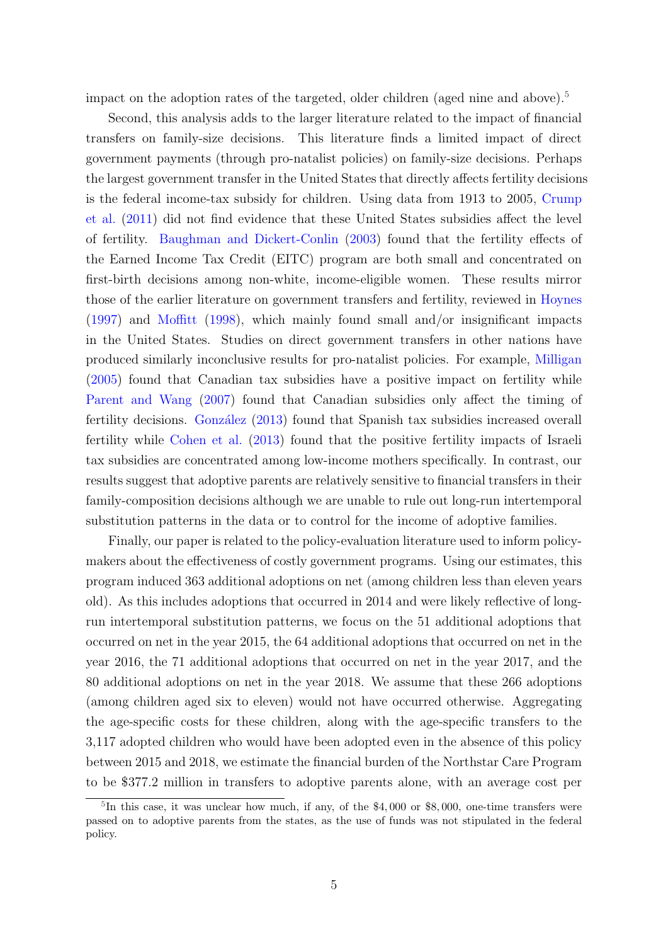impact on the adoption rates of the targeted, older children (aged nine and above).<sup>[5](#page-4-0)</sup>

Second, this analysis adds to the larger literature related to the impact of financial transfers on family-size decisions. This literature finds a limited impact of direct government payments (through pro-natalist policies) on family-size decisions. Perhaps the largest government transfer in the United States that directly affects fertility decisions is the federal income-tax subsidy for children. Using data from 1913 to 2005, [Crump](#page-16-6) [et al.](#page-16-6) [\(2011\)](#page-16-6) did not find evidence that these United States subsidies affect the level of fertility. [Baughman and Dickert-Conlin](#page-16-7) [\(2003\)](#page-16-7) found that the fertility effects of the Earned Income Tax Credit (EITC) program are both small and concentrated on first-birth decisions among non-white, income-eligible women. These results mirror those of the earlier literature on government transfers and fertility, reviewed in [Hoynes](#page-17-4) [\(1997\)](#page-17-4) and [Moffitt](#page-18-5) [\(1998\)](#page-18-5), which mainly found small and/or insignificant impacts in the United States. Studies on direct government transfers in other nations have produced similarly inconclusive results for pro-natalist policies. For example, [Milligan](#page-17-5) [\(2005\)](#page-17-5) found that Canadian tax subsidies have a positive impact on fertility while [Parent and Wang](#page-18-6) [\(2007\)](#page-18-6) found that Canadian subsidies only affect the timing of fertility decisions. González [\(2013\)](#page-17-6) found that Spanish tax subsidies increased overall fertility while [Cohen et al.](#page-16-8) [\(2013\)](#page-16-8) found that the positive fertility impacts of Israeli tax subsidies are concentrated among low-income mothers specifically. In contrast, our results suggest that adoptive parents are relatively sensitive to financial transfers in their family-composition decisions although we are unable to rule out long-run intertemporal substitution patterns in the data or to control for the income of adoptive families.

Finally, our paper is related to the policy-evaluation literature used to inform policymakers about the effectiveness of costly government programs. Using our estimates, this program induced 363 additional adoptions on net (among children less than eleven years old). As this includes adoptions that occurred in 2014 and were likely reflective of longrun intertemporal substitution patterns, we focus on the 51 additional adoptions that occurred on net in the year 2015, the 64 additional adoptions that occurred on net in the year 2016, the 71 additional adoptions that occurred on net in the year 2017, and the 80 additional adoptions on net in the year 2018. We assume that these 266 adoptions (among children aged six to eleven) would not have occurred otherwise. Aggregating the age-specific costs for these children, along with the age-specific transfers to the 3,117 adopted children who would have been adopted even in the absence of this policy between 2015 and 2018, we estimate the financial burden of the Northstar Care Program to be \$377.2 million in transfers to adoptive parents alone, with an average cost per

<span id="page-4-0"></span><sup>&</sup>lt;sup>5</sup>In this case, it was unclear how much, if any, of the \$4,000 or \$8,000, one-time transfers were passed on to adoptive parents from the states, as the use of funds was not stipulated in the federal policy.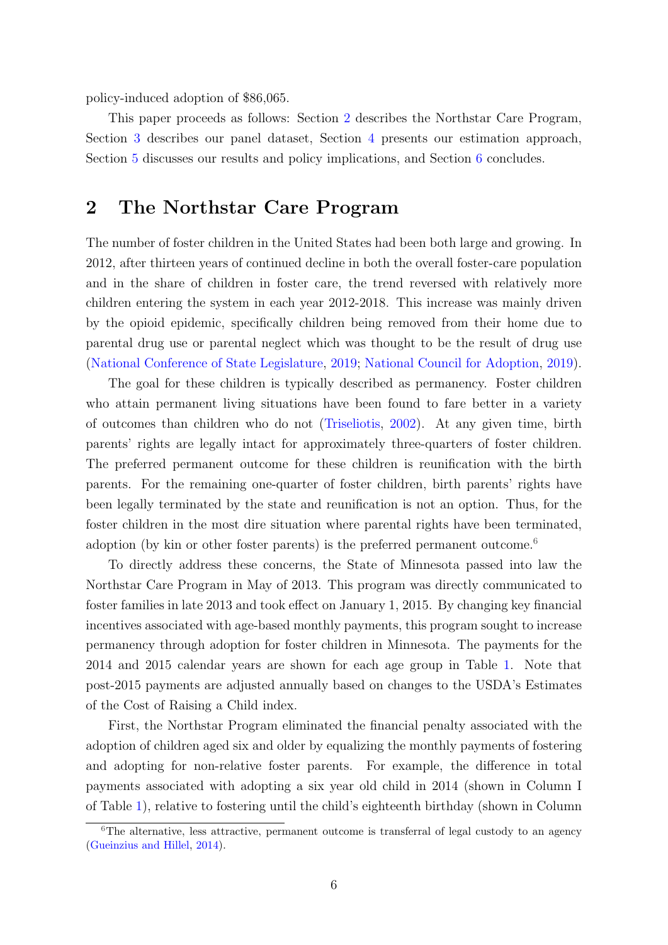policy-induced adoption of \$86,065.

This paper proceeds as follows: Section [2](#page-5-0) describes the Northstar Care Program, Section [3](#page-7-0) describes our panel dataset, Section [4](#page-10-0) presents our estimation approach, Section [5](#page-12-0) discusses our results and policy implications, and Section [6](#page-14-0) concludes.

## <span id="page-5-0"></span>2 The Northstar Care Program

The number of foster children in the United States had been both large and growing. In 2012, after thirteen years of continued decline in both the overall foster-care population and in the share of children in foster care, the trend reversed with relatively more children entering the system in each year 2012-2018. This increase was mainly driven by the opioid epidemic, specifically children being removed from their home due to parental drug use or parental neglect which was thought to be the result of drug use [\(National Conference of State Legislature,](#page-18-7) [2019;](#page-18-7) [National Council for Adoption,](#page-18-8) [2019\)](#page-18-8).

The goal for these children is typically described as permanency. Foster children who attain permanent living situations have been found to fare better in a variety of outcomes than children who do not [\(Triseliotis,](#page-18-1) [2002\)](#page-18-1). At any given time, birth parents' rights are legally intact for approximately three-quarters of foster children. The preferred permanent outcome for these children is reunification with the birth parents. For the remaining one-quarter of foster children, birth parents' rights have been legally terminated by the state and reunification is not an option. Thus, for the foster children in the most dire situation where parental rights have been terminated, adoption (by kin or other foster parents) is the preferred permanent outcome.<sup>[6](#page-5-1)</sup>

To directly address these concerns, the State of Minnesota passed into law the Northstar Care Program in May of 2013. This program was directly communicated to foster families in late 2013 and took effect on January 1, 2015. By changing key financial incentives associated with age-based monthly payments, this program sought to increase permanency through adoption for foster children in Minnesota. The payments for the 2014 and 2015 calendar years are shown for each age group in Table [1.](#page-6-0) Note that post-2015 payments are adjusted annually based on changes to the USDA's Estimates of the Cost of Raising a Child index.

First, the Northstar Program eliminated the financial penalty associated with the adoption of children aged six and older by equalizing the monthly payments of fostering and adopting for non-relative foster parents. For example, the difference in total payments associated with adopting a six year old child in 2014 (shown in Column I of Table [1\)](#page-6-0), relative to fostering until the child's eighteenth birthday (shown in Column

<span id="page-5-1"></span><sup>&</sup>lt;sup>6</sup>The alternative, less attractive, permanent outcome is transferral of legal custody to an agency [\(Gueinzius and Hillel,](#page-17-7) [2014\)](#page-17-7).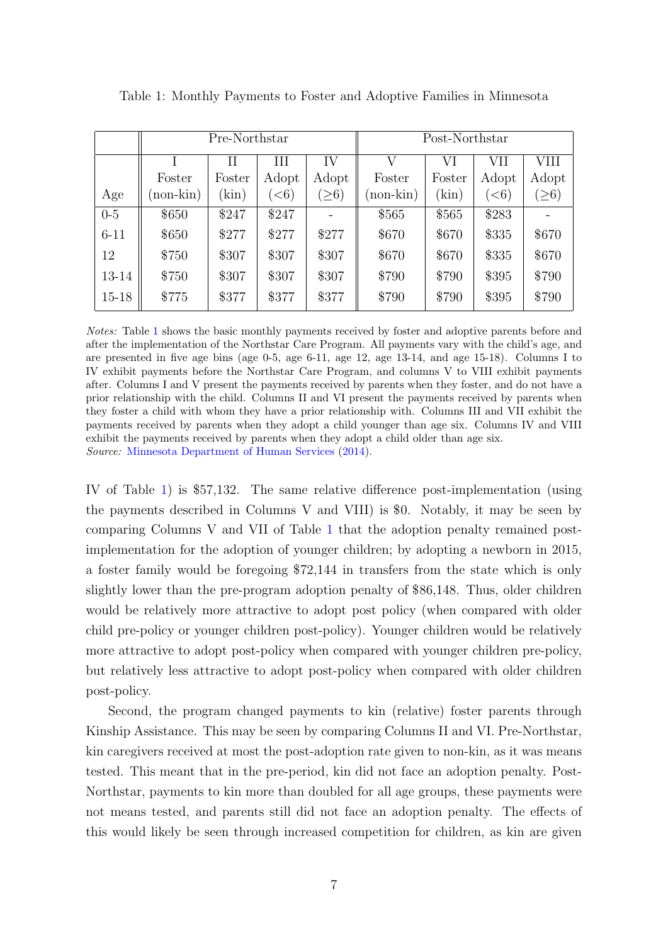|           |          | Pre-Northstar |                       |            |             | Post-Northstar |           |            |
|-----------|----------|---------------|-----------------------|------------|-------------|----------------|-----------|------------|
|           |          | Н             | Ш                     | IV         | V           | VI             | VII       | VIII       |
|           | Foster   | Foster        | Adopt                 | Adopt      | Foster      | Foster         | Adopt     | Adopt      |
| Age       | non-kin) | (kin)         | $\left( <\!6 \right)$ | $\geq 6$ ) | $(non-kin)$ | (kin)          | $\leq 6)$ | $(\geq 6)$ |
| $0-5$     | \$650    | \$247         | \$247                 |            | \$565       | \$565          | \$283     |            |
| $6 - 11$  | \$650    | \$277         | \$277                 | \$277      | \$670       | \$670          | \$335     | \$670      |
| 12        | \$750    | \$307         | \$307                 | \$307      | \$670       | \$670          | \$335     | \$670      |
| 13-14     | \$750    | \$307         | \$307                 | \$307      | \$790       | \$790          | \$395     | \$790      |
| $15 - 18$ | \$775    | \$377         | \$377                 | \$377      | \$790       | \$790          | \$395     | \$790      |

<span id="page-6-0"></span>Table 1: Monthly Payments to Foster and Adoptive Families in Minnesota

Notes: Table [1](#page-6-0) shows the basic monthly payments received by foster and adoptive parents before and after the implementation of the Northstar Care Program. All payments vary with the child's age, and are presented in five age bins (age 0-5, age 6-11, age 12, age 13-14, and age 15-18). Columns I to IV exhibit payments before the Northstar Care Program, and columns V to VIII exhibit payments after. Columns I and V present the payments received by parents when they foster, and do not have a prior relationship with the child. Columns II and VI present the payments received by parents when they foster a child with whom they have a prior relationship with. Columns III and VII exhibit the payments received by parents when they adopt a child younger than age six. Columns IV and VIII exhibit the payments received by parents when they adopt a child older than age six. Source: [Minnesota Department of Human Services](#page-17-8) [\(2014\)](#page-17-8).

IV of Table [1\)](#page-6-0) is \$57,132. The same relative difference post-implementation (using the payments described in Columns V and VIII) is \$0. Notably, it may be seen by comparing Columns V and VII of Table [1](#page-6-0) that the adoption penalty remained postimplementation for the adoption of younger children; by adopting a newborn in 2015, a foster family would be foregoing \$72,144 in transfers from the state which is only slightly lower than the pre-program adoption penalty of \$86,148. Thus, older children would be relatively more attractive to adopt post policy (when compared with older child pre-policy or younger children post-policy). Younger children would be relatively more attractive to adopt post-policy when compared with younger children pre-policy, but relatively less attractive to adopt post-policy when compared with older children post-policy.

Second, the program changed payments to kin (relative) foster parents through Kinship Assistance. This may be seen by comparing Columns II and VI. Pre-Northstar, kin caregivers received at most the post-adoption rate given to non-kin, as it was means tested. This meant that in the pre-period, kin did not face an adoption penalty. Post-Northstar, payments to kin more than doubled for all age groups, these payments were not means tested, and parents still did not face an adoption penalty. The effects of this would likely be seen through increased competition for children, as kin are given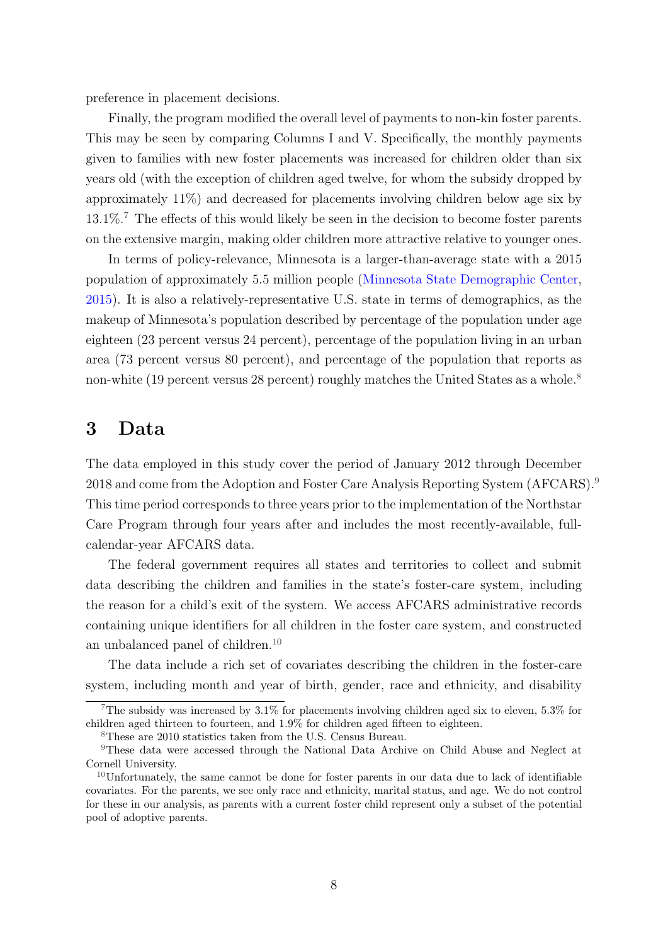preference in placement decisions.

Finally, the program modified the overall level of payments to non-kin foster parents. This may be seen by comparing Columns I and V. Specifically, the monthly payments given to families with new foster placements was increased for children older than six years old (with the exception of children aged twelve, for whom the subsidy dropped by approximately 11%) and decreased for placements involving children below age six by  $13.1\%$ .<sup>[7](#page-7-1)</sup> The effects of this would likely be seen in the decision to become foster parents on the extensive margin, making older children more attractive relative to younger ones.

In terms of policy-relevance, Minnesota is a larger-than-average state with a 2015 population of approximately 5.5 million people [\(Minnesota State Demographic Center,](#page-18-9) [2015\)](#page-18-9). It is also a relatively-representative U.S. state in terms of demographics, as the makeup of Minnesota's population described by percentage of the population under age eighteen (23 percent versus 24 percent), percentage of the population living in an urban area (73 percent versus 80 percent), and percentage of the population that reports as non-white (19 percent versus 2[8](#page-7-2) percent) roughly matches the United States as a whole.<sup>8</sup>

### <span id="page-7-0"></span>3 Data

The data employed in this study cover the period of January 2012 through December 2018 and come from the Adoption and Foster Care Analysis Reporting System (AFCARS).<sup>[9](#page-7-3)</sup> This time period corresponds to three years prior to the implementation of the Northstar Care Program through four years after and includes the most recently-available, fullcalendar-year AFCARS data.

The federal government requires all states and territories to collect and submit data describing the children and families in the state's foster-care system, including the reason for a child's exit of the system. We access AFCARS administrative records containing unique identifiers for all children in the foster care system, and constructed an unbalanced panel of children.<sup>[10](#page-7-4)</sup>

The data include a rich set of covariates describing the children in the foster-care system, including month and year of birth, gender, race and ethnicity, and disability

<span id="page-7-3"></span><span id="page-7-2"></span><sup>8</sup>These are 2010 statistics taken from the U.S. Census Bureau.

<span id="page-7-1"></span><sup>&</sup>lt;sup>7</sup>The subsidy was increased by  $3.1\%$  for placements involving children aged six to eleven,  $5.3\%$  for children aged thirteen to fourteen, and 1.9% for children aged fifteen to eighteen.

<sup>9</sup>These data were accessed through the National Data Archive on Child Abuse and Neglect at Cornell University.

<span id="page-7-4"></span> $10$ Unfortunately, the same cannot be done for foster parents in our data due to lack of identifiable covariates. For the parents, we see only race and ethnicity, marital status, and age. We do not control for these in our analysis, as parents with a current foster child represent only a subset of the potential pool of adoptive parents.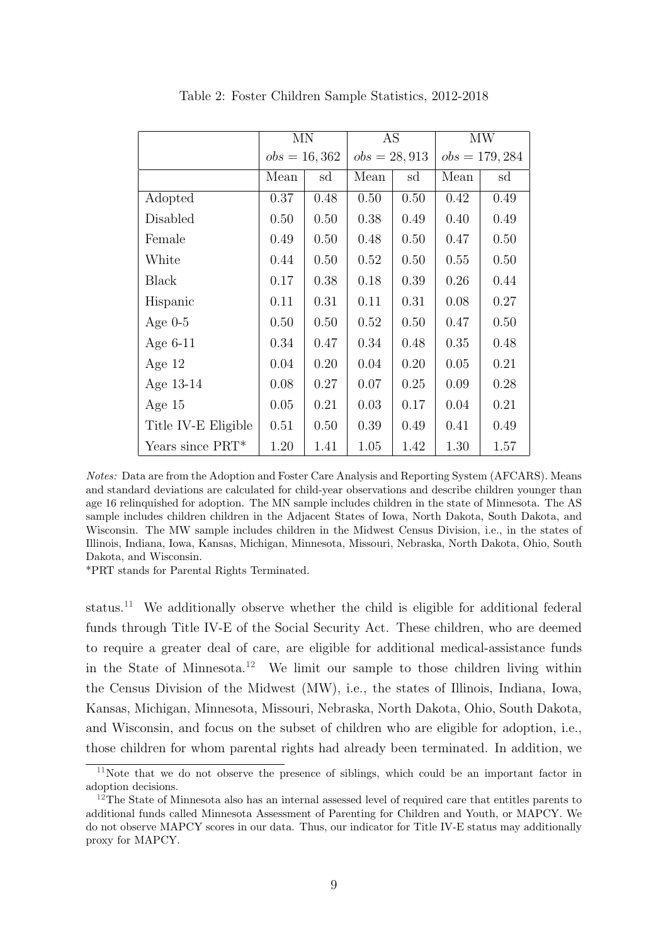<span id="page-8-2"></span>

|                     | <b>MN</b>      |      | AS             |      |      | MW               |
|---------------------|----------------|------|----------------|------|------|------------------|
|                     | $obs = 16,362$ |      | $obs = 28,913$ |      |      | $obs = 179, 284$ |
|                     | Mean           | sd   | Mean           | sd   | Mean | sd               |
| Adopted             | 0.37           | 0.48 | 0.50           | 0.50 | 0.42 | 0.49             |
| Disabled            | 0.50           | 0.50 | 0.38           | 0.49 | 0.40 | 0.49             |
| Female              | 0.49           | 0.50 | 0.48           | 0.50 | 0.47 | 0.50             |
| White               | 0.44           | 0.50 | 0.52           | 0.50 | 0.55 | 0.50             |
| <b>Black</b>        | 0.17           | 0.38 | 0.18           | 0.39 | 0.26 | 0.44             |
| Hispanic            | 0.11           | 0.31 | 0.11           | 0.31 | 0.08 | 0.27             |
| Age $0-5$           | 0.50           | 0.50 | 0.52           | 0.50 | 0.47 | 0.50             |
| Age $6-11$          | 0.34           | 0.47 | 0.34           | 0.48 | 0.35 | 0.48             |
| Age $12$            | 0.04           | 0.20 | 0.04           | 0.20 | 0.05 | 0.21             |
| Age 13-14           | 0.08           | 0.27 | 0.07           | 0.25 | 0.09 | 0.28             |
| Age $15$            | 0.05           | 0.21 | 0.03           | 0.17 | 0.04 | 0.21             |
| Title IV-E Eligible | 0.51           | 0.50 | 0.39           | 0.49 | 0.41 | 0.49             |
| Years since PRT*    | 1.20           | 1.41 | 1.05           | 1.42 | 1.30 | 1.57             |

Table 2: Foster Children Sample Statistics, 2012-2018

\*PRT stands for Parental Rights Terminated.

status.[11](#page-8-0) We additionally observe whether the child is eligible for additional federal funds through Title IV-E of the Social Security Act. These children, who are deemed to require a greater deal of care, are eligible for additional medical-assistance funds in the State of Minnesota.<sup>[12](#page-8-1)</sup> We limit our sample to those children living within the Census Division of the Midwest (MW), i.e., the states of Illinois, Indiana, Iowa, Kansas, Michigan, Minnesota, Missouri, Nebraska, North Dakota, Ohio, South Dakota, and Wisconsin, and focus on the subset of children who are eligible for adoption, i.e., those children for whom parental rights had already been terminated. In addition, we

Notes: Data are from the Adoption and Foster Care Analysis and Reporting System (AFCARS). Means and standard deviations are calculated for child-year observations and describe children younger than age 16 relinquished for adoption. The MN sample includes children in the state of Minnesota. The AS sample includes children children in the Adjacent States of Iowa, North Dakota, South Dakota, and Wisconsin. The MW sample includes children in the Midwest Census Division, i.e., in the states of Illinois, Indiana, Iowa, Kansas, Michigan, Minnesota, Missouri, Nebraska, North Dakota, Ohio, South Dakota, and Wisconsin.

<span id="page-8-0"></span> $11$ Note that we do not observe the presence of siblings, which could be an important factor in adoption decisions.

<span id="page-8-1"></span> $12$ The State of Minnesota also has an internal assessed level of required care that entitles parents to additional funds called Minnesota Assessment of Parenting for Children and Youth, or MAPCY. We do not observe MAPCY scores in our data. Thus, our indicator for Title IV-E status may additionally proxy for MAPCY.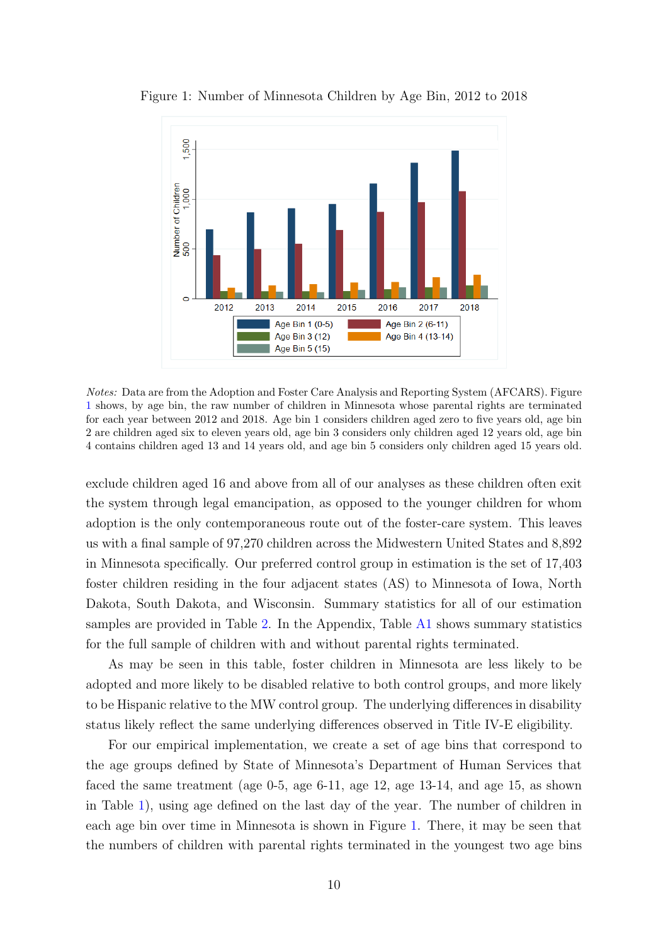

<span id="page-9-0"></span>Figure 1: Number of Minnesota Children by Age Bin, 2012 to 2018

Notes: Data are from the Adoption and Foster Care Analysis and Reporting System (AFCARS). Figure [1](#page-9-0) shows, by age bin, the raw number of children in Minnesota whose parental rights are terminated for each year between 2012 and 2018. Age bin 1 considers children aged zero to five years old, age bin 2 are children aged six to eleven years old, age bin 3 considers only children aged 12 years old, age bin 4 contains children aged 13 and 14 years old, and age bin 5 considers only children aged 15 years old.

exclude children aged 16 and above from all of our analyses as these children often exit the system through legal emancipation, as opposed to the younger children for whom adoption is the only contemporaneous route out of the foster-care system. This leaves us with a final sample of 97,270 children across the Midwestern United States and 8,892 in Minnesota specifically. Our preferred control group in estimation is the set of 17,403 foster children residing in the four adjacent states (AS) to Minnesota of Iowa, North Dakota, South Dakota, and Wisconsin. Summary statistics for all of our estimation samples are provided in Table [2.](#page-8-2) In the Appendix, Table [A1](#page-19-0) shows summary statistics for the full sample of children with and without parental rights terminated.

As may be seen in this table, foster children in Minnesota are less likely to be adopted and more likely to be disabled relative to both control groups, and more likely to be Hispanic relative to the MW control group. The underlying differences in disability status likely reflect the same underlying differences observed in Title IV-E eligibility.

For our empirical implementation, we create a set of age bins that correspond to the age groups defined by State of Minnesota's Department of Human Services that faced the same treatment (age 0-5, age 6-11, age 12, age 13-14, and age 15, as shown in Table [1\)](#page-6-0), using age defined on the last day of the year. The number of children in each age bin over time in Minnesota is shown in Figure [1.](#page-9-0) There, it may be seen that the numbers of children with parental rights terminated in the youngest two age bins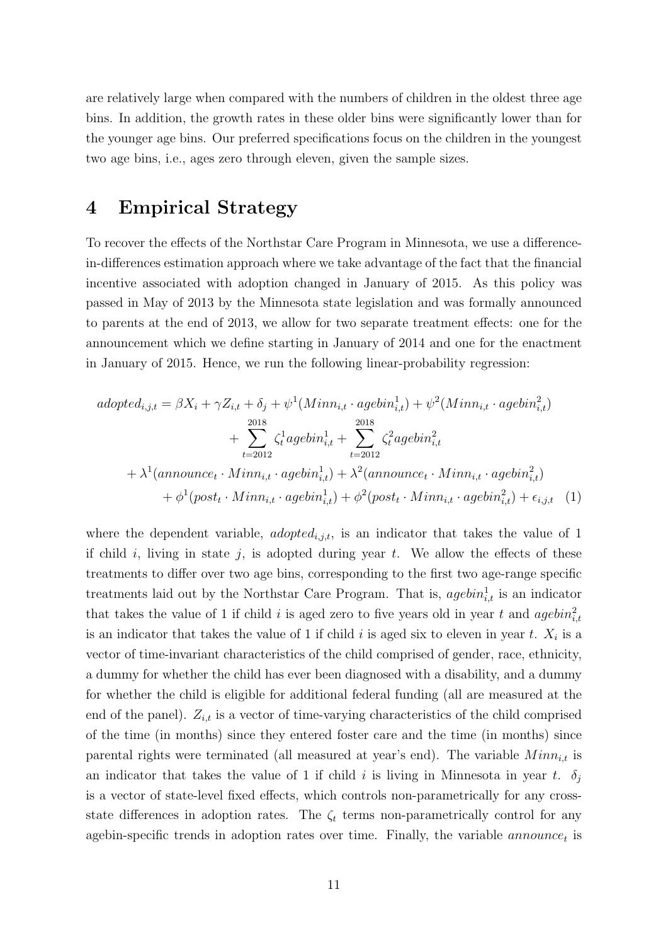are relatively large when compared with the numbers of children in the oldest three age bins. In addition, the growth rates in these older bins were significantly lower than for the younger age bins. Our preferred specifications focus on the children in the youngest two age bins, i.e., ages zero through eleven, given the sample sizes.

# <span id="page-10-0"></span>4 Empirical Strategy

To recover the effects of the Northstar Care Program in Minnesota, we use a differencein-differences estimation approach where we take advantage of the fact that the financial incentive associated with adoption changed in January of 2015. As this policy was passed in May of 2013 by the Minnesota state legislation and was formally announced to parents at the end of 2013, we allow for two separate treatment effects: one for the announcement which we define starting in January of 2014 and one for the enactment in January of 2015. Hence, we run the following linear-probability regression:

<span id="page-10-1"></span>
$$
adopted_{i,j,t} = \beta X_i + \gamma Z_{i,t} + \delta_j + \psi^1(Minn_{i,t} \cdot agebin_{i,t}^1) + \psi^2(Minn_{i,t} \cdot agebin_{i,t}^2)
$$
  
+ 
$$
\sum_{t=2012}^{2018} \zeta_t^1 agebin_{i,t}^1 + \sum_{t=2012}^{2018} \zeta_t^2 agebin_{i,t}^2
$$
  
+ 
$$
\lambda^1(announce_t \cdot Minn_{i,t} \cdot agebin_{i,t}^1) + \lambda^2(announce_t \cdot Minn_{i,t} \cdot agebin_{i,t}^2)
$$
  
+ 
$$
\phi^1(post_t \cdot Minn_{i,t} \cdot agebin_{i,t}^1) + \phi^2(post_t \cdot Minn_{i,t} \cdot agebin_{i,t}^2) + \epsilon_{i,j,t} \quad (1)
$$

where the dependent variable, *adopted*<sub>i,jt</sub>, is an indicator that takes the value of 1 if child i, living in state j, is adopted during year  $t$ . We allow the effects of these treatments to differ over two age bins, corresponding to the first two age-range specific treatments laid out by the Northstar Care Program. That is,  $agebra_{i,t}^1$  is an indicator that takes the value of 1 if child i is aged zero to five years old in year t and  $a$ gebin<sup>2</sup><sub>i,t</sub> is an indicator that takes the value of 1 if child  $i$  is aged six to eleven in year  $t$ .  $X_i$  is a vector of time-invariant characteristics of the child comprised of gender, race, ethnicity, a dummy for whether the child has ever been diagnosed with a disability, and a dummy for whether the child is eligible for additional federal funding (all are measured at the end of the panel).  $Z_{i,t}$  is a vector of time-varying characteristics of the child comprised of the time (in months) since they entered foster care and the time (in months) since parental rights were terminated (all measured at year's end). The variable  $Min_{i,t}$  is an indicator that takes the value of 1 if child i is living in Minnesota in year t.  $\delta_j$ is a vector of state-level fixed effects, which controls non-parametrically for any crossstate differences in adoption rates. The  $\zeta_t$  terms non-parametrically control for any agebin-specific trends in adoption rates over time. Finally, the variable  $announce_t$  is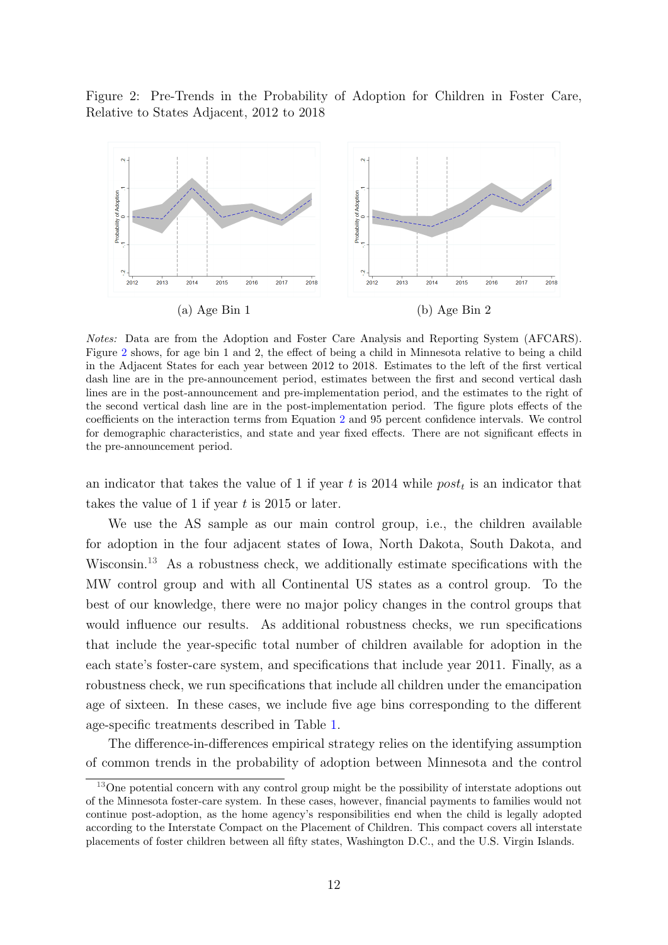<span id="page-11-0"></span>Figure 2: Pre-Trends in the Probability of Adoption for Children in Foster Care, Relative to States Adjacent, 2012 to 2018



Notes: Data are from the Adoption and Foster Care Analysis and Reporting System (AFCARS). Figure [2](#page-11-0) shows, for age bin 1 and 2, the effect of being a child in Minnesota relative to being a child in the Adjacent States for each year between 2012 to 2018. Estimates to the left of the first vertical dash line are in the pre-announcement period, estimates between the first and second vertical dash lines are in the post-announcement and pre-implementation period, and the estimates to the right of the second vertical dash line are in the post-implementation period. The figure plots effects of the coefficients on the interaction terms from Equation [2](#page-12-1) and 95 percent confidence intervals. We control for demographic characteristics, and state and year fixed effects. There are not significant effects in the pre-announcement period.

an indicator that takes the value of 1 if year t is 2014 while  $post_t$  is an indicator that takes the value of 1 if year  $t$  is 2015 or later.

We use the AS sample as our main control group, i.e., the children available for adoption in the four adjacent states of Iowa, North Dakota, South Dakota, and Wisconsin.[13](#page-11-1) As a robustness check, we additionally estimate specifications with the MW control group and with all Continental US states as a control group. To the best of our knowledge, there were no major policy changes in the control groups that would influence our results. As additional robustness checks, we run specifications that include the year-specific total number of children available for adoption in the each state's foster-care system, and specifications that include year 2011. Finally, as a robustness check, we run specifications that include all children under the emancipation age of sixteen. In these cases, we include five age bins corresponding to the different age-specific treatments described in Table [1.](#page-6-0)

The difference-in-differences empirical strategy relies on the identifying assumption of common trends in the probability of adoption between Minnesota and the control

<span id="page-11-1"></span> $13$ One potential concern with any control group might be the possibility of interstate adoptions out of the Minnesota foster-care system. In these cases, however, financial payments to families would not continue post-adoption, as the home agency's responsibilities end when the child is legally adopted according to the Interstate Compact on the Placement of Children. This compact covers all interstate placements of foster children between all fifty states, Washington D.C., and the U.S. Virgin Islands.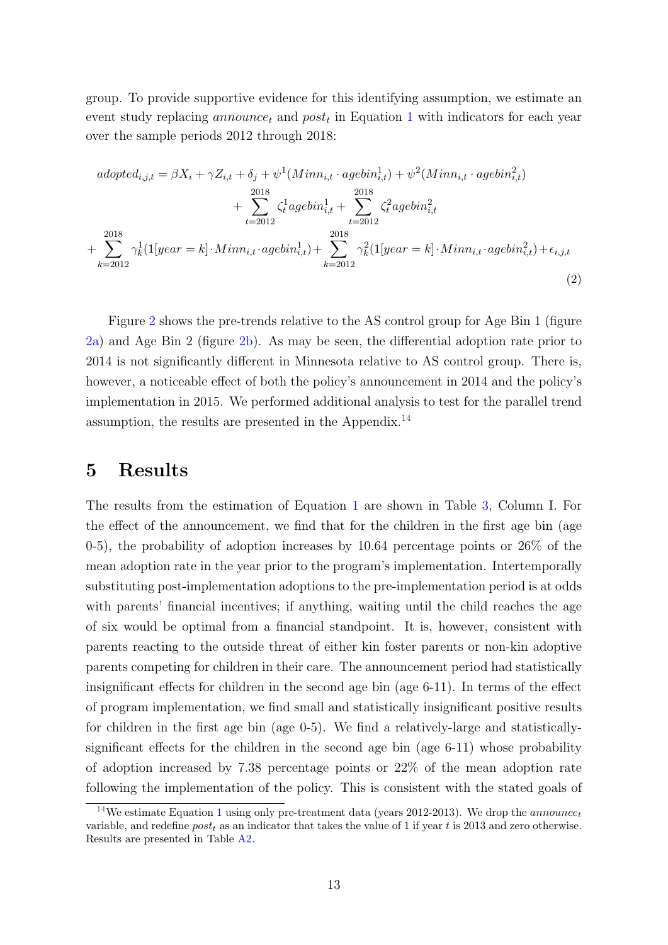group. To provide supportive evidence for this identifying assumption, we estimate an event study replacing  $announce_t$  and  $post_t$  in Equation [1](#page-10-1) with indicators for each year over the sample periods 2012 through 2018:

$$
adopted_{i,j,t} = \beta X_i + \gamma Z_{i,t} + \delta_j + \psi^1(Minn_{i,t} \cdot agebin_{i,t}^1) + \psi^2(Minn_{i,t} \cdot agebin_{i,t}^2) + \sum_{t=2012}^{2018} \zeta_t^1 agebin_{i,t}^1 + \sum_{t=2012}^{2018} \zeta_t^2 agebin_{i,t}^2 + \sum_{k=2012}^{2018} \gamma_k^1 (1[year = k] \cdot Minn_{i,t} \cdot agebin_{i,t}^1) + \sum_{k=2012}^{2018} \gamma_k^2 (1[year = k] \cdot Minn_{i,t} \cdot agebin_{i,t}^2) + \epsilon_{i,j,t}
$$
\n(2)

<span id="page-12-1"></span>Figure [2](#page-11-0) shows the pre-trends relative to the AS control group for Age Bin 1 (figure [2a\)](#page-11-0) and Age Bin 2 (figure [2b\)](#page-11-0). As may be seen, the differential adoption rate prior to 2014 is not significantly different in Minnesota relative to AS control group. There is, however, a noticeable effect of both the policy's announcement in 2014 and the policy's implementation in 2015. We performed additional analysis to test for the parallel trend assumption, the results are presented in the Appendix.<sup>[14](#page-12-2)</sup>

### <span id="page-12-0"></span>5 Results

The results from the estimation of Equation [1](#page-10-1) are shown in Table [3,](#page-13-0) Column I. For the effect of the announcement, we find that for the children in the first age bin (age 0-5), the probability of adoption increases by 10.64 percentage points or 26% of the mean adoption rate in the year prior to the program's implementation. Intertemporally substituting post-implementation adoptions to the pre-implementation period is at odds with parents' financial incentives; if anything, waiting until the child reaches the age of six would be optimal from a financial standpoint. It is, however, consistent with parents reacting to the outside threat of either kin foster parents or non-kin adoptive parents competing for children in their care. The announcement period had statistically insignificant effects for children in the second age bin (age 6-11). In terms of the effect of program implementation, we find small and statistically insignificant positive results for children in the first age bin (age 0-5). We find a relatively-large and statisticallysignificant effects for the children in the second age bin (age 6-11) whose probability of adoption increased by 7.38 percentage points or 22% of the mean adoption rate following the implementation of the policy. This is consistent with the stated goals of

<span id="page-12-2"></span><sup>&</sup>lt;sup>[1](#page-10-1)4</sup>We estimate Equation 1 using only pre-treatment data (years 2012-2013). We drop the *announce* variable, and redefine  $post_t$  as an indicator that takes the value of 1 if year t is 2013 and zero otherwise. Results are presented in Table [A2.](#page-20-0)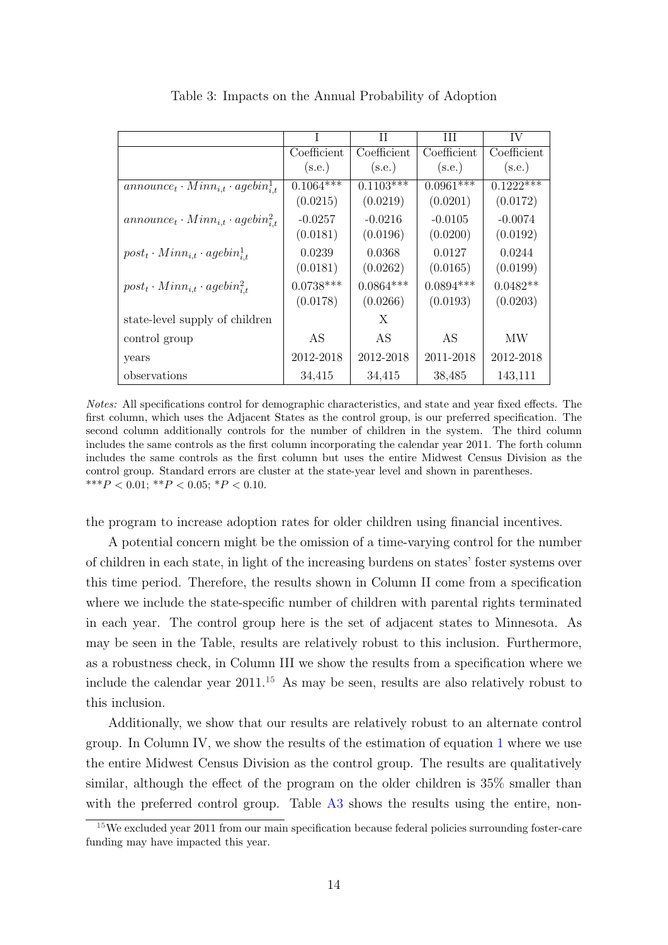<span id="page-13-0"></span>

|                                                    | T           | Н           | Ш           | IV          |
|----------------------------------------------------|-------------|-------------|-------------|-------------|
|                                                    | Coefficient | Coefficient | Coefficient | Coefficient |
|                                                    | (s.e.)      | (s.e.)      | (s.e.)      | (s.e.)      |
| $announce_t \cdot Minn_{i,t} \cdot agebin_{i,t}^1$ | $0.1064***$ | $0.1103***$ | $0.0961***$ | $0.1222**$  |
|                                                    | (0.0215)    | (0.0219)    | (0.0201)    | (0.0172)    |
| $announce_t \cdot Minn_{i,t} \cdot agebin_{i,t}^2$ | $-0.0257$   | $-0.0216$   | $-0.0105$   | $-0.0074$   |
|                                                    | (0.0181)    | (0.0196)    | (0.0200)    | (0.0192)    |
| $post_t \cdot Min_{i,t} \cdot agebin_{i,t}^{1}$    | 0.0239      | 0.0368      | 0.0127      | 0.0244      |
|                                                    | (0.0181)    | (0.0262)    | (0.0165)    | (0.0199)    |
| $post_t \cdot Min_{i,t} \cdot agebin_{i,t}^2$      | $0.0738***$ | $0.0864***$ | $0.0894***$ | $0.0482**$  |
|                                                    | (0.0178)    | (0.0266)    | (0.0193)    | (0.0203)    |
| state-level supply of children                     |             | X           |             |             |
| control group                                      | AS          | AS          | AS          | МW          |
| years                                              | 2012-2018   | 2012-2018   | 2011-2018   | 2012-2018   |
| observations                                       | 34,415      | 34,415      | 38,485      | 143,111     |

Table 3: Impacts on the Annual Probability of Adoption

Notes: All specifications control for demographic characteristics, and state and year fixed effects. The first column, which uses the Adjacent States as the control group, is our preferred specification. The second column additionally controls for the number of children in the system. The third column includes the same controls as the first column incorporating the calendar year 2011. The forth column includes the same controls as the first column but uses the entire Midwest Census Division as the control group. Standard errors are cluster at the state-year level and shown in parentheses. \*\*\* $P < 0.01$ ; \*\* $P < 0.05$ ; \* $P < 0.10$ .

the program to increase adoption rates for older children using financial incentives.

A potential concern might be the omission of a time-varying control for the number of children in each state, in light of the increasing burdens on states' foster systems over this time period. Therefore, the results shown in Column II come from a specification where we include the state-specific number of children with parental rights terminated in each year. The control group here is the set of adjacent states to Minnesota. As may be seen in the Table, results are relatively robust to this inclusion. Furthermore, as a robustness check, in Column III we show the results from a specification where we include the calendar year  $2011<sup>15</sup>$  $2011<sup>15</sup>$  $2011<sup>15</sup>$  As may be seen, results are also relatively robust to this inclusion.

Additionally, we show that our results are relatively robust to an alternate control group. In Column IV, we show the results of the estimation of equation [1](#page-10-1) where we use the entire Midwest Census Division as the control group. The results are qualitatively similar, although the effect of the program on the older children is 35% smaller than with the preferred control group. Table [A3](#page-20-1) shows the results using the entire, non-

<span id="page-13-1"></span><sup>&</sup>lt;sup>15</sup>We excluded year 2011 from our main specification because federal policies surrounding foster-care funding may have impacted this year.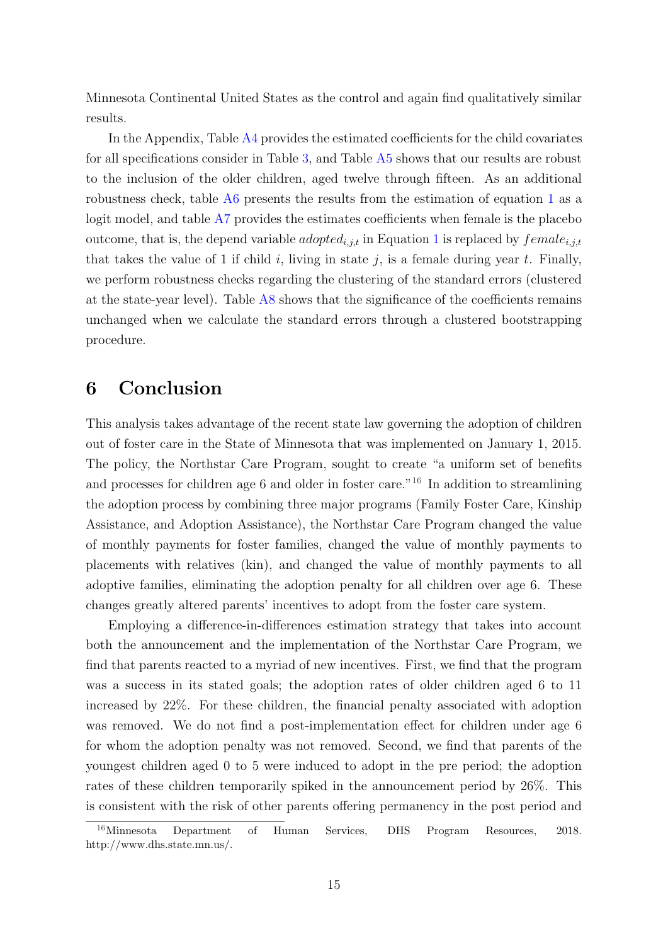Minnesota Continental United States as the control and again find qualitatively similar results.

In the Appendix, Table [A4](#page-21-0) provides the estimated coefficients for the child covariates for all specifications consider in Table [3,](#page-13-0) and Table [A5](#page-22-0) shows that our results are robust to the inclusion of the older children, aged twelve through fifteen. As an additional robustness check, table [A6](#page-23-0) presents the results from the estimation of equation [1](#page-10-1) as a logit model, and table [A7](#page-24-0) provides the estimates coefficients when female is the placebo outcome, that is, the depend variable *adopted*<sub>i,j,t</sub> in Equation [1](#page-10-1) is replaced by  $female_{i,j,t}$ that takes the value of 1 if child i, living in state j, is a female during year t. Finally, we perform robustness checks regarding the clustering of the standard errors (clustered at the state-year level). Table  $\overline{AB}$  shows that the significance of the coefficients remains unchanged when we calculate the standard errors through a clustered bootstrapping procedure.

## <span id="page-14-0"></span>6 Conclusion

This analysis takes advantage of the recent state law governing the adoption of children out of foster care in the State of Minnesota that was implemented on January 1, 2015. The policy, the Northstar Care Program, sought to create "a uniform set of benefits and processes for children age 6 and older in foster care."<sup>[16](#page-14-1)</sup> In addition to streamlining the adoption process by combining three major programs (Family Foster Care, Kinship Assistance, and Adoption Assistance), the Northstar Care Program changed the value of monthly payments for foster families, changed the value of monthly payments to placements with relatives (kin), and changed the value of monthly payments to all adoptive families, eliminating the adoption penalty for all children over age 6. These changes greatly altered parents' incentives to adopt from the foster care system.

Employing a difference-in-differences estimation strategy that takes into account both the announcement and the implementation of the Northstar Care Program, we find that parents reacted to a myriad of new incentives. First, we find that the program was a success in its stated goals; the adoption rates of older children aged 6 to 11 increased by 22%. For these children, the financial penalty associated with adoption was removed. We do not find a post-implementation effect for children under age 6 for whom the adoption penalty was not removed. Second, we find that parents of the youngest children aged 0 to 5 were induced to adopt in the pre period; the adoption rates of these children temporarily spiked in the announcement period by 26%. This is consistent with the risk of other parents offering permanency in the post period and

<span id="page-14-1"></span><sup>&</sup>lt;sup>16</sup>Minnesota Department of Human Services, DHS Program Resources, 2018. http://www.dhs.state.mn.us/.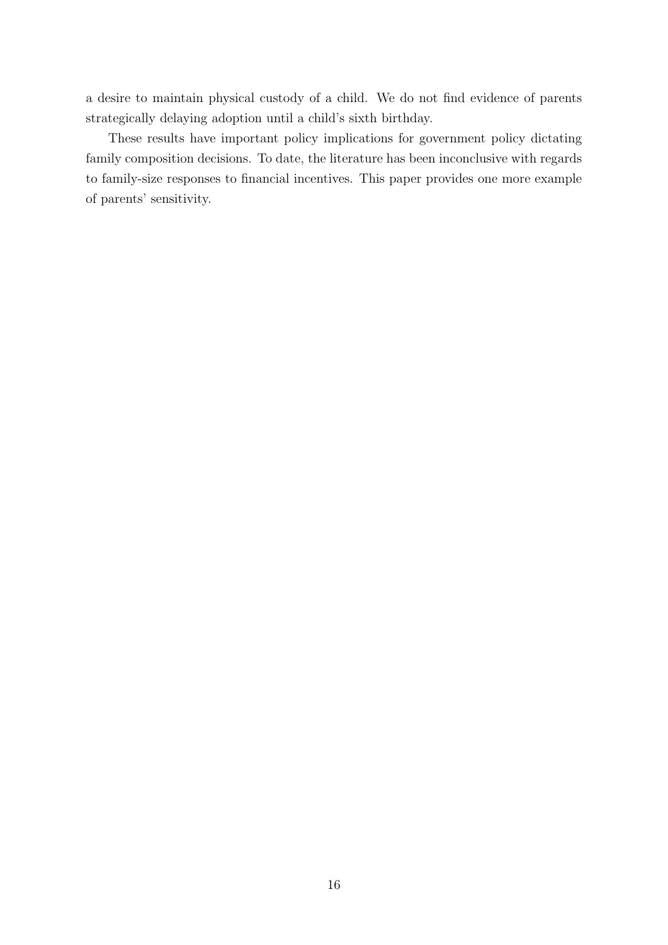a desire to maintain physical custody of a child. We do not find evidence of parents strategically delaying adoption until a child's sixth birthday.

These results have important policy implications for government policy dictating family composition decisions. To date, the literature has been inconclusive with regards to family-size responses to financial incentives. This paper provides one more example of parents' sensitivity.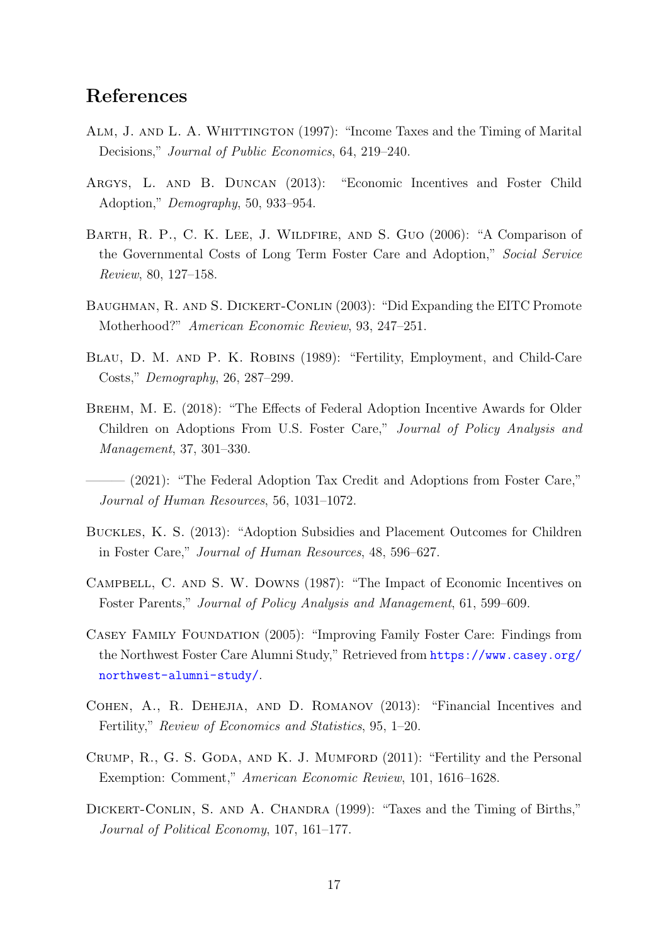### References

- ALM, J. AND L. A. WHITTINGTON (1997): "Income Taxes and the Timing of Marital Decisions," Journal of Public Economics, 64, 219–240.
- <span id="page-16-2"></span>Argys, L. and B. Duncan (2013): "Economic Incentives and Foster Child Adoption," Demography, 50, 933–954.
- BARTH, R. P., C. K. LEE, J. WILDFIRE, AND S. GUO (2006): "A Comparison of the Governmental Costs of Long Term Foster Care and Adoption," Social Service Review, 80, 127–158.
- <span id="page-16-7"></span>BAUGHMAN, R. AND S. DICKERT-CONLIN (2003): "Did Expanding the EITC Promote Motherhood?" American Economic Review, 93, 247–251.
- Blau, D. M. and P. K. Robins (1989): "Fertility, Employment, and Child-Care Costs," Demography, 26, 287–299.
- <span id="page-16-5"></span>Brehm, M. E. (2018): "The Effects of Federal Adoption Incentive Awards for Older Children on Adoptions From U.S. Foster Care," Journal of Policy Analysis and Management, 37, 301–330.
- <span id="page-16-4"></span>– (2021): "The Federal Adoption Tax Credit and Adoptions from Foster Care," Journal of Human Resources, 56, 1031–1072.
- <span id="page-16-3"></span>Buckles, K. S. (2013): "Adoption Subsidies and Placement Outcomes for Children in Foster Care," Journal of Human Resources, 48, 596–627.
- <span id="page-16-1"></span>Campbell, C. and S. W. Downs (1987): "The Impact of Economic Incentives on Foster Parents," Journal of Policy Analysis and Management, 61, 599–609.
- <span id="page-16-0"></span>Casey Family Foundation (2005): "Improving Family Foster Care: Findings from the Northwest Foster Care Alumni Study," Retrieved from [https://www.casey.org/](https://www.casey.org/northwest-alumni-study/) [northwest-alumni-study/](https://www.casey.org/northwest-alumni-study/).
- <span id="page-16-8"></span>Cohen, A., R. Dehejia, and D. Romanov (2013): "Financial Incentives and Fertility," Review of Economics and Statistics, 95, 1–20.
- <span id="page-16-6"></span>CRUMP, R., G. S. GODA, AND K. J. MUMFORD (2011): "Fertility and the Personal Exemption: Comment," American Economic Review, 101, 1616–1628.
- DICKERT-CONLIN, S. AND A. CHANDRA (1999): "Taxes and the Timing of Births," Journal of Political Economy, 107, 161–177.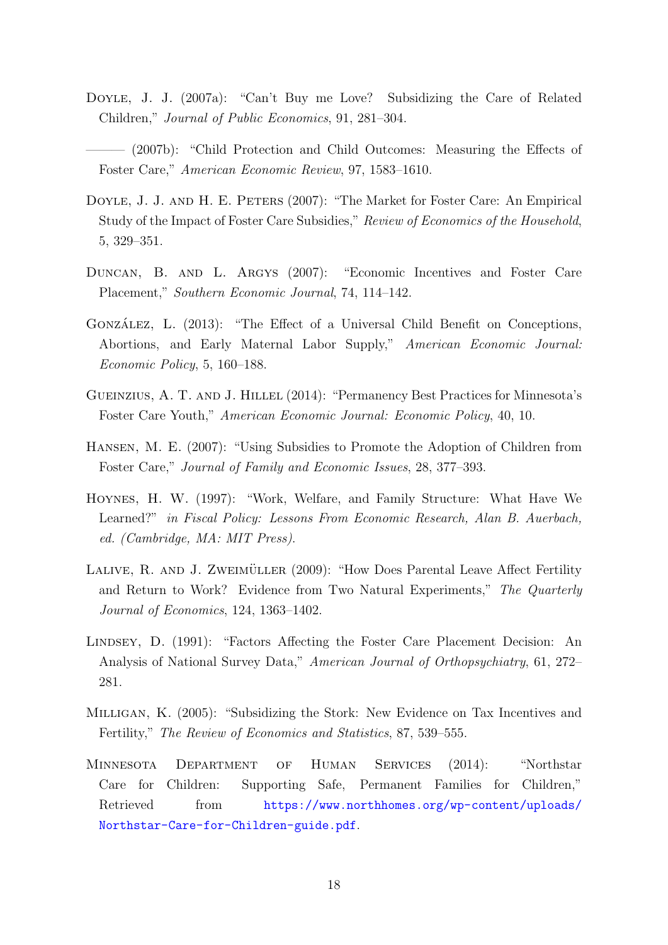- <span id="page-17-3"></span>DOYLE, J. J. (2007a): "Can't Buy me Love? Subsidizing the Care of Related Children," Journal of Public Economics, 91, 281–304.
- (2007b): "Child Protection and Child Outcomes: Measuring the Effects of Foster Care," American Economic Review, 97, 1583–1610.
- <span id="page-17-1"></span>DOYLE, J. J. AND H. E. PETERS (2007): "The Market for Foster Care: An Empirical Study of the Impact of Foster Care Subsidies," Review of Economics of the Household, 5, 329–351.
- <span id="page-17-2"></span>Duncan, B. and L. Argys (2007): "Economic Incentives and Foster Care Placement," Southern Economic Journal, 74, 114–142.
- <span id="page-17-6"></span>GONZÁLEZ, L. (2013): "The Effect of a Universal Child Benefit on Conceptions, Abortions, and Early Maternal Labor Supply," American Economic Journal: Economic Policy, 5, 160–188.
- <span id="page-17-7"></span>GUEINZIUS, A. T. AND J. HILLEL (2014): "Permanency Best Practices for Minnesota's Foster Care Youth," American Economic Journal: Economic Policy, 40, 10.
- Hansen, M. E. (2007): "Using Subsidies to Promote the Adoption of Children from Foster Care," Journal of Family and Economic Issues, 28, 377–393.
- <span id="page-17-4"></span>Hoynes, H. W. (1997): "Work, Welfare, and Family Structure: What Have We Learned?" in Fiscal Policy: Lessons From Economic Research, Alan B. Auerbach, ed. (Cambridge, MA: MIT Press).
- LALIVE, R. AND J. ZWEIMÜLLER (2009): "How Does Parental Leave Affect Fertility and Return to Work? Evidence from Two Natural Experiments," The Quarterly Journal of Economics, 124, 1363–1402.
- <span id="page-17-0"></span>LINDSEY, D. (1991): "Factors Affecting the Foster Care Placement Decision: An Analysis of National Survey Data," American Journal of Orthopsychiatry, 61, 272– 281.
- <span id="page-17-5"></span>Milligan, K. (2005): "Subsidizing the Stork: New Evidence on Tax Incentives and Fertility," The Review of Economics and Statistics, 87, 539–555.
- <span id="page-17-8"></span>Minnesota Department of Human Services (2014): "Northstar Care for Children: Supporting Safe, Permanent Families for Children," Retrieved from [https://www.northhomes.org/wp-content/uploads/](https://www.northhomes.org/wp-content/uploads/Northstar-Care-for-Children-guide.pdf) [Northstar-Care-for-Children-guide.pdf](https://www.northhomes.org/wp-content/uploads/Northstar-Care-for-Children-guide.pdf).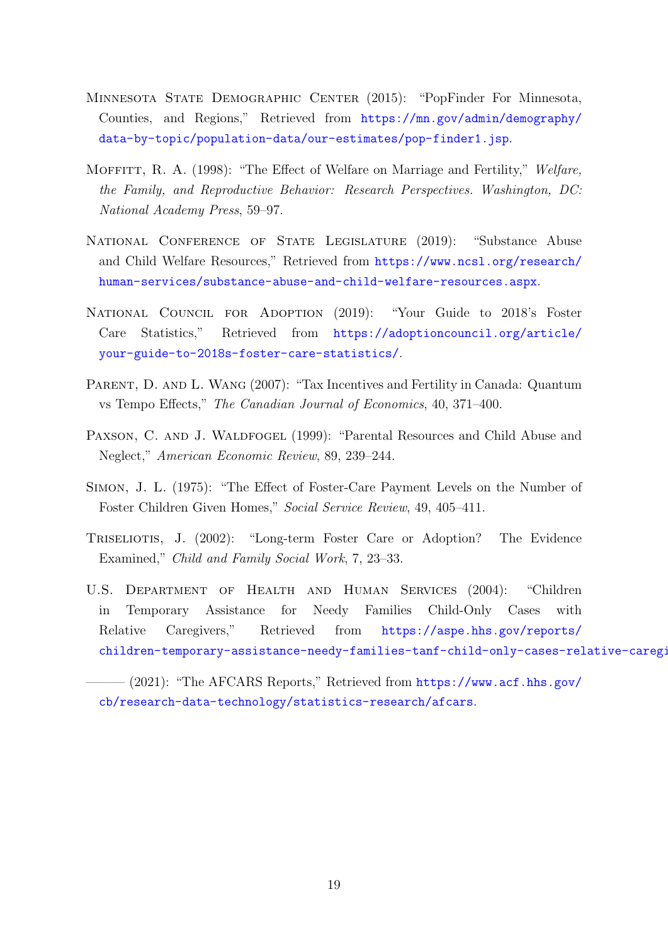- <span id="page-18-9"></span>MINNESOTA STATE DEMOGRAPHIC CENTER (2015): "PopFinder For Minnesota, Counties, and Regions," Retrieved from [https://mn.gov/admin/demography/](https://mn.gov/admin/demography/data-by-topic/population-data/our-estimates/pop-finder1.jsp) [data-by-topic/population-data/our-estimates/pop-finder1.jsp](https://mn.gov/admin/demography/data-by-topic/population-data/our-estimates/pop-finder1.jsp).
- <span id="page-18-5"></span>MOFFITT, R. A. (1998): "The Effect of Welfare on Marriage and Fertility," Welfare, the Family, and Reproductive Behavior: Research Perspectives. Washington, DC: National Academy Press, 59–97.
- <span id="page-18-7"></span>National Conference of State Legislature (2019): "Substance Abuse and Child Welfare Resources," Retrieved from [https://www.ncsl.org/research/](https://www.ncsl.org/research/human-services/substance-abuse-and-child-welfare-resources.aspx) [human-services/substance-abuse-and-child-welfare-resources.aspx](https://www.ncsl.org/research/human-services/substance-abuse-and-child-welfare-resources.aspx).
- <span id="page-18-8"></span>National Council for Adoption (2019): "Your Guide to 2018's Foster Care Statistics," Retrieved from [https://adoptioncouncil.org/article/](https://adoptioncouncil.org/article/your-guide-to-2018s-foster-care-statistics/) [your-guide-to-2018s-foster-care-statistics/](https://adoptioncouncil.org/article/your-guide-to-2018s-foster-care-statistics/).
- <span id="page-18-6"></span>PARENT, D. AND L. WANG (2007): "Tax Incentives and Fertility in Canada: Quantum vs Tempo Effects," The Canadian Journal of Economics, 40, 371–400.
- <span id="page-18-2"></span>PAXSON, C. AND J. WALDFOGEL (1999): "Parental Resources and Child Abuse and Neglect," American Economic Review, 89, 239–244.
- <span id="page-18-4"></span>Simon, J. L. (1975): "The Effect of Foster-Care Payment Levels on the Number of Foster Children Given Homes," Social Service Review, 49, 405–411.
- <span id="page-18-1"></span>Triseliotis, J. (2002): "Long-term Foster Care or Adoption? The Evidence Examined," Child and Family Social Work, 7, 23–33.
- <span id="page-18-3"></span>U.S. Department of Health and Human Services (2004): "Children in Temporary Assistance for Needy Families Child-Only Cases with Relative Caregivers," Retrieved from [https://aspe.hhs.gov/reports/](https://aspe.hhs.gov/reports/children-temporary-assistance-needy-families-tanf-child-only-cases-relative-caregivers-1) children-temporary-assistance-needy-families-tanf-child-only-cases-relative-caregi
- <span id="page-18-0"></span> $-(2021)$ : "The AFCARS Reports," Retrieved from [https://www.acf.hhs.gov/](https://www.acf.hhs.gov/cb/research-data-technology/statistics-research/afcars) [cb/research-data-technology/statistics-research/afcars](https://www.acf.hhs.gov/cb/research-data-technology/statistics-research/afcars).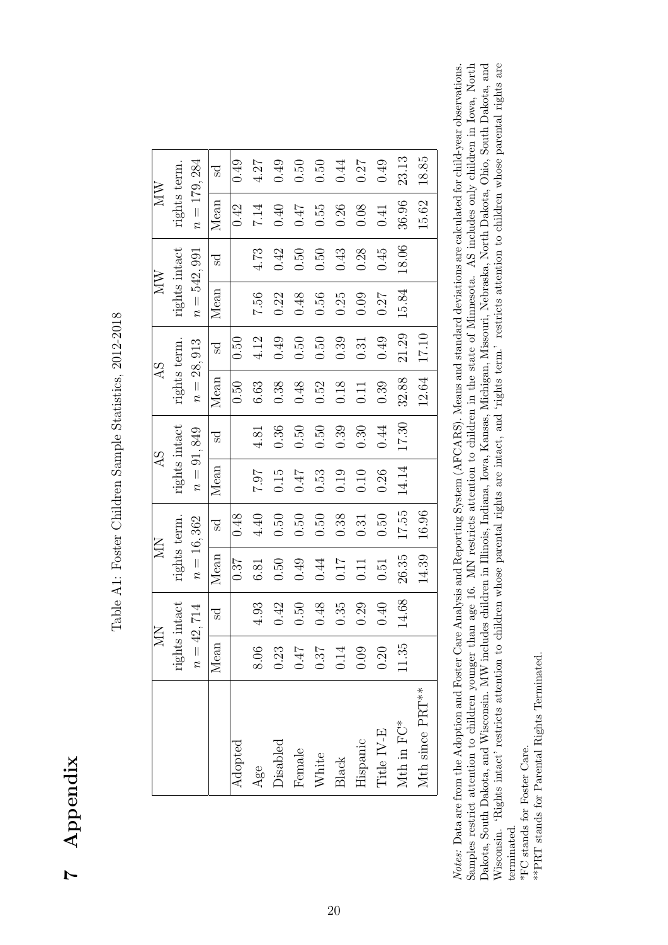7 Appendix

Table A1: Foster Children Sample Statistics, 2012-2018 Table A1: Foster Children Sample Statistics, 2012-2018

|                               |              | <b>NIN</b>    | <b>NIV</b>   |       | AS            |       | AS           |       | <b>NIV</b>    |       | <b>NIV</b>    |              |
|-------------------------------|--------------|---------------|--------------|-------|---------------|-------|--------------|-------|---------------|-------|---------------|--------------|
|                               |              | rights intact | rights term. |       | rights intact |       | rights term. |       | rights intact |       | rights term.  |              |
|                               | $n = 42,714$ |               | $n = 16,362$ |       | $n = 91,849$  |       | $n = 28,913$ |       | $n = 542,991$ |       | $n = 179,284$ |              |
|                               | Mean         | Sd            | Mean         | 5d    | Mean          | Sd    | Mean         | Sd    | Mean          | Sd    | Mean          | $_{\rm{sd}}$ |
|                               |              |               | 0.37         | 0.48  |               |       | 0.50         | 0.50  |               |       | 0.42          | 0.49         |
|                               | 8.06         | 4.93          | 6.81         | 4.40  | 7.07          | 4.81  | 6.63         | 4.12  | 7.56          | 4.73  | 7.14          | 4.27         |
|                               | 0.23         | 0.42          | 0.50         | 0.50  | 0.15          | 0.36  | 0.38         | 0.49  | 0.22          | 0.42  | 0.40          | 0.49         |
|                               | $\!10.0$     | 0.50          | 0.49         | 0.50  | 0.47          | 0.50  | 0.48         | 0.50  | 0.48          | 0.50  | 71.0          | 0.50         |
|                               | 0.37         | 0.48          | 0.44         | 0.50  | 0.53          | 0.50  | 0.52         | 0.50  | 0.56          | 0.50  | 0.55          | 0.50         |
|                               | 0.14         | 0.35          | <b>117</b>   | 0.38  | 0.19          | 0.39  | 0.18         | 0.39  | 0.25          | 0.43  | 0.26          | 0.44         |
|                               | 0.09         | 0.29          | 0.11         | 0.31  | 0.10          | 0.30  | 0.11         | 0.31  | 0.09          | 0.28  | 0.08          | 0.27         |
|                               | 0.20         | $0.40\,$      | 0.51         | 0.50  | 0.26          | 0.44  | 0.39         | 0.49  | 0.27          | 0.45  | 0.41          | 0.49         |
|                               | 11.35        | 14.68         | 26.35        | 17.55 | 14.14         | 17.30 | 32.88        | 21.29 | 15.84         | 18.06 | 36.96         | 23.13        |
| Mth since $\mathrm{PRT}^{**}$ |              |               | 14.39        | 16.96 |               |       | 12.64        | 17.10 |               |       | 15.62         | 18.85        |

<span id="page-19-0"></span>Samples restrict attention to children younger than age 16. MN restricts attention to children in the state of Minnesota. AS includes only children in Iowa, North Dakota, South Dakota, and Wisconsin. MW includes children in Illinois, Indiana, Iowa, Kansas, Michigan, Missouri, Nebraska, North Dakota, Ohio, South Dakota, and Wisconsin. 'Rights intact' restricts attention to children whose parental rights are intact, and 'rights term.' restricts attention to children whose parental rights are Notes: Data are from the Adoption and Foster Care Analysis and Reporting System (AFCARS). Means and standard deviations are calculated for child-year observations. Samples restrict attention to children younger than age 16. MN restricts attention to children in the state of Minnesota. AS includes only children in Iowa, North Dakota, South Dakota, and Wisconsin. MW includes children in Illinois, Indiana, Iowa, Kansas, Michigan, Missouri, Nebraska, North Dakota, Ohio, South Dakota, and Wisconsin. 'Rights intact' restricts attention to children whose parental rights are intact, and 'rights term.' restricts attention to children whose parental rights are Notes: Data are from the Adoption and Foster Care Analysis and Reporting System (AFCARS). Means and standard deviations are calculated for child-year observations. terminated. terminated.

\*FC stands for Foster Care. \*FC stands for Foster Care.

\*\*PRT stands for Parental Rights Terminated. \*\*PRT stands for Parental Rights Terminated.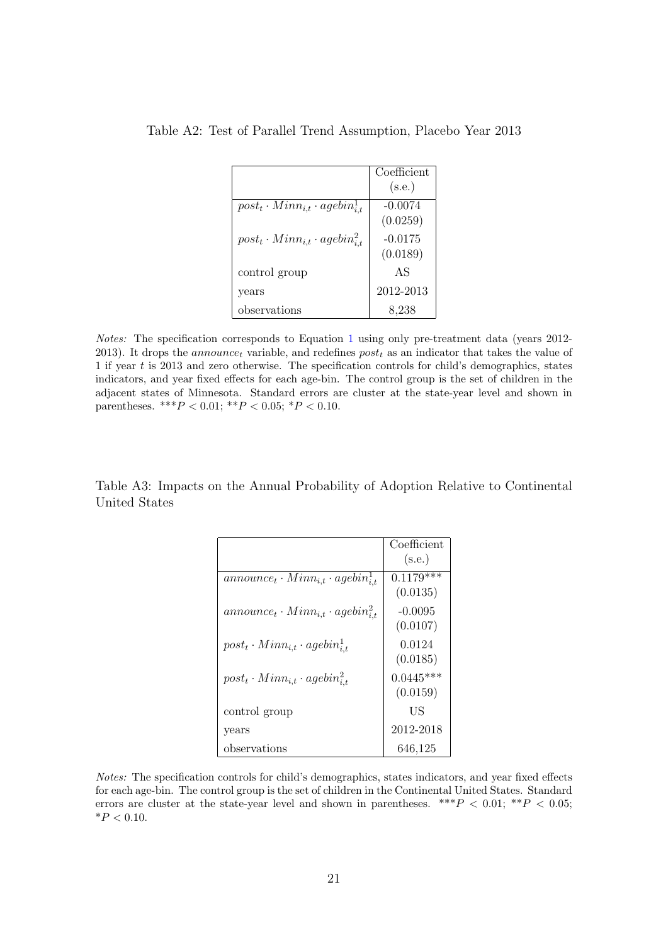|                                                 | Coefficient |
|-------------------------------------------------|-------------|
|                                                 | (s.e.)      |
| $post_t \cdot Min_{i,t} \cdot agebin_{i,t}^1$   | $-0.0074$   |
|                                                 | (0.0259)    |
| $post_t \cdot Min_{i,t} \cdot agebin_{i,t}^{2}$ | $-0.0175$   |
|                                                 | (0.0189)    |
| control group                                   | AS          |
| years                                           | 2012-2013   |
| observations                                    | 8,238       |

<span id="page-20-0"></span>Table A2: Test of Parallel Trend Assumption, Placebo Year 2013

Notes: The specification corresponds to Equation [1](#page-10-1) using only pre-treatment data (years 2012- 2013). It drops the *announce<sub>t</sub>* variable, and redefines  $post_t$  as an indicator that takes the value of 1 if year t is 2013 and zero otherwise. The specification controls for child's demographics, states indicators, and year fixed effects for each age-bin. The control group is the set of children in the adjacent states of Minnesota. Standard errors are cluster at the state-year level and shown in parentheses. \*\*\* $P < 0.01$ ; \*\* $P < 0.05$ ; \* $P < 0.10$ .

<span id="page-20-1"></span>Table A3: Impacts on the Annual Probability of Adoption Relative to Continental United States

|                                                    | Coefficient |
|----------------------------------------------------|-------------|
|                                                    | (s.e.)      |
| $announce_t \cdot Min_{i,t} \cdot agebin_{i,t}^1$  | $0.1179***$ |
|                                                    | (0.0135)    |
| $announce_t \cdot Minn_{i,t} \cdot agebin_{i,t}^2$ | $-0.0095$   |
|                                                    | (0.0107)    |
| $post_t \cdot Min_{i,t} \cdot agebin_{i,t}^1$      | 0.0124      |
|                                                    | (0.0185)    |
| $post_t \cdot Min_{i,t} \cdot agebin_{i,t}^2$      | $0.0445***$ |
|                                                    | (0.0159)    |
| control group                                      | US          |
| years                                              | 2012-2018   |
| observations                                       | 646,125     |

Notes: The specification controls for child's demographics, states indicators, and year fixed effects for each age-bin. The control group is the set of children in the Continental United States. Standard errors are cluster at the state-year level and shown in parentheses. \*\*\* $P < 0.01$ ; \*\* $P < 0.05$ ;  $*P < 0.10$ .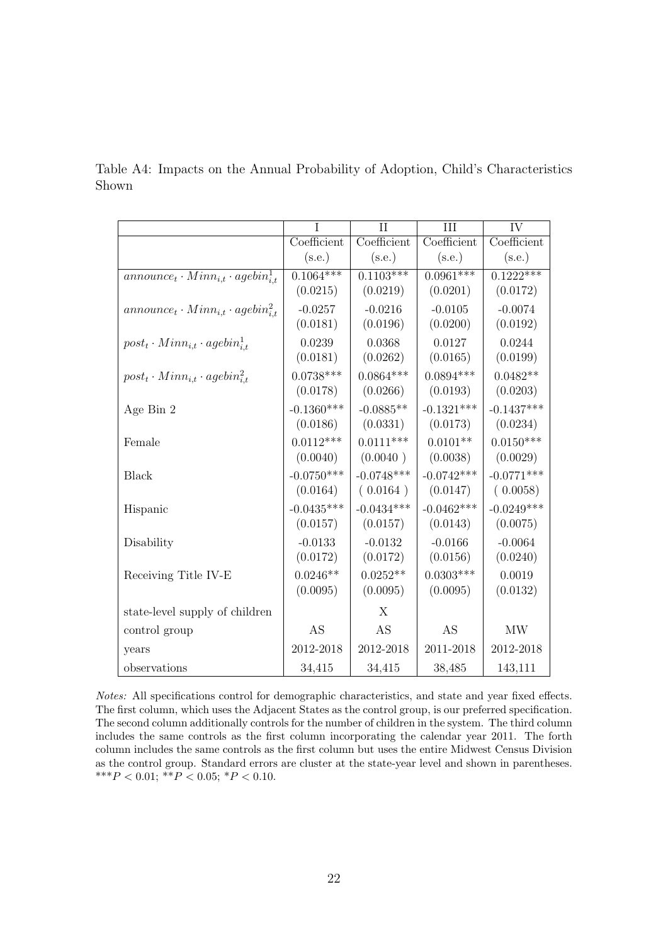|                                                               |              | $\mathbf{H}$ | Ш            | <b>IV</b>    |
|---------------------------------------------------------------|--------------|--------------|--------------|--------------|
|                                                               | Coefficient  | Coefficient  | Coefficient  | Coefficient  |
|                                                               | (s.e.)       | (s.e.)       | (s.e.)       | (s.e.)       |
| $\overline{announce_t \cdot Minn_{i,t} \cdot agebin_{i,t}^1}$ | $0.1064***$  | $0.1103***$  | $0.0961***$  | $0.1222***$  |
|                                                               | (0.0215)     | (0.0219)     | (0.0201)     | (0.0172)     |
| $announce_t \cdot Minn_{i,t} \cdot agebin_{i,t}^2$            | $-0.0257$    | $-0.0216$    | $-0.0105$    | $-0.0074$    |
|                                                               | (0.0181)     | (0.0196)     | (0.0200)     | (0.0192)     |
| $post_t \cdot Min_{i,t} \cdot agebin_{i,t}^1$                 | 0.0239       | 0.0368       | 0.0127       | 0.0244       |
|                                                               | (0.0181)     | (0.0262)     | (0.0165)     | (0.0199)     |
| $post_t \cdot Min_{i,t} \cdot agebin_{i,t}^2$                 | $0.0738***$  | $0.0864***$  | $0.0894***$  | $0.0482**$   |
|                                                               | (0.0178)     | (0.0266)     | (0.0193)     | (0.0203)     |
| Age Bin 2                                                     | $-0.1360***$ | $-0.0885**$  | $-0.1321***$ | $-0.1437***$ |
|                                                               | (0.0186)     | (0.0331)     | (0.0173)     | (0.0234)     |
| Female                                                        | $0.0112***$  | $0.0111***$  | $0.0101**$   | $0.0150***$  |
|                                                               | (0.0040)     | (0.0040)     | (0.0038)     | (0.0029)     |
| <b>Black</b>                                                  | $-0.0750***$ | $-0.0748***$ | $-0.0742***$ | $-0.0771***$ |
|                                                               | (0.0164)     | (0.0164)     | (0.0147)     | (0.0058)     |
| Hispanic                                                      | $-0.0435***$ | $-0.0434***$ | $-0.0462***$ | $-0.0249***$ |
|                                                               | (0.0157)     | (0.0157)     | (0.0143)     | (0.0075)     |
| Disability                                                    | $-0.0133$    | $-0.0132$    | $-0.0166$    | $-0.0064$    |
|                                                               | (0.0172)     | (0.0172)     | (0.0156)     | (0.0240)     |
| Receiving Title IV-E                                          | $0.0246**$   | $0.0252**$   | $0.0303***$  | 0.0019       |
|                                                               | (0.0095)     | (0.0095)     | (0.0095)     | (0.0132)     |
| state-level supply of children                                |              | X            |              |              |
| control group                                                 | AS           | AS           | AS           | <b>MW</b>    |
| years                                                         | 2012-2018    | 2012-2018    | 2011-2018    | 2012-2018    |
| observations                                                  | 34,415       | 34,415       | 38,485       | 143,111      |

<span id="page-21-0"></span>Table A4: Impacts on the Annual Probability of Adoption, Child's Characteristics Shown

Notes: All specifications control for demographic characteristics, and state and year fixed effects. The first column, which uses the Adjacent States as the control group, is our preferred specification. The second column additionally controls for the number of children in the system. The third column includes the same controls as the first column incorporating the calendar year 2011. The forth column includes the same controls as the first column but uses the entire Midwest Census Division as the control group. Standard errors are cluster at the state-year level and shown in parentheses. \*\*\*P < 0.01; \*\*P < 0.05; \*P < 0.10.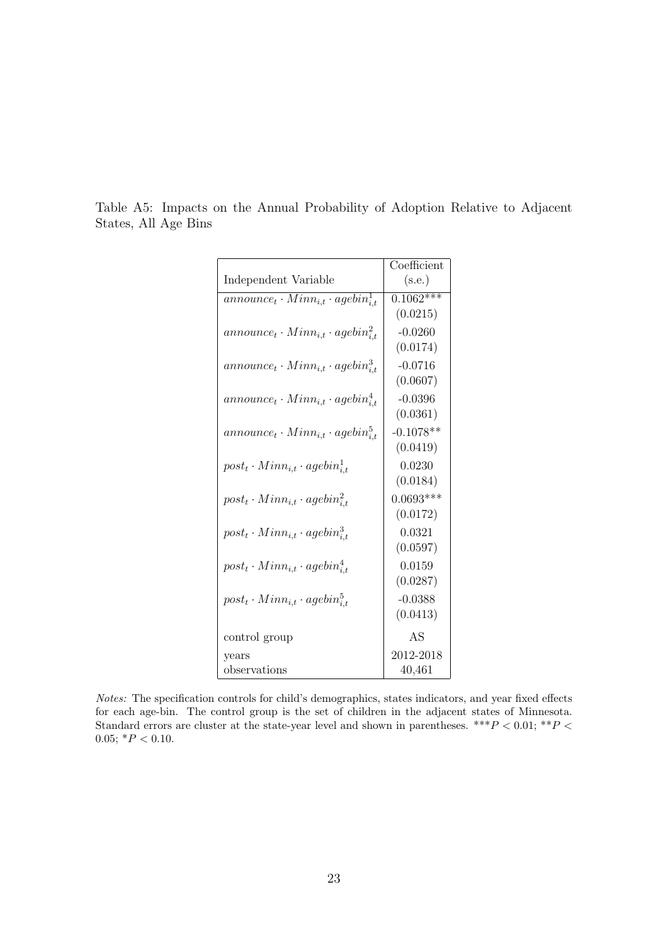|                                                   | Coefficient |
|---------------------------------------------------|-------------|
| Independent Variable                              | (s.e.)      |
| $announce_t \cdot Min_{i,t} \cdot agebin_{i,t}^1$ | $0.1062***$ |
|                                                   | (0.0215)    |
| $announce_t \cdot Minn_{i,t} \cdot agebin_{it}^2$ | $-0.0260$   |
|                                                   | (0.0174)    |
| $announce_t \cdot Min_{i,t} \cdot agebin_{i,t}^3$ | $-0.0716$   |
|                                                   | (0.0607)    |
| $announce_t \cdot Min_{i,t} \cdot agebin_{i,t}^4$ | $-0.0396$   |
|                                                   | (0.0361)    |
| $announce_t \cdot Min_{i,t} \cdot agebin_{i,t}^5$ | $-0.1078**$ |
|                                                   | (0.0419)    |
| $post_t \cdot Min_{i,t} \cdot agebin_{i,t}^1$     | 0.0230      |
|                                                   | (0.0184)    |
| $post_t \cdot Min_{i,t} \cdot agebin_{i,t}^2$     | $0.0693***$ |
|                                                   | (0.0172)    |
| $post_t \cdot Min_{i,t} \cdot agebin_{i,t}^3$     | 0.0321      |
|                                                   | (0.0597)    |
| $post_t \cdot Min_{i,t} \cdot agebin_{i,t}^4$     | 0.0159      |
|                                                   | (0.0287)    |
| $post_t \cdot Min_{i,t} \cdot agebin_{i,t}^5$     | $-0.0388$   |
|                                                   | (0.0413)    |
| control group                                     | AS          |
| vears                                             | 2012-2018   |
| observations                                      | 40,461      |

<span id="page-22-0"></span>Table A5: Impacts on the Annual Probability of Adoption Relative to Adjacent States, All Age Bins

Notes: The specification controls for child's demographics, states indicators, and year fixed effects for each age-bin. The control group is the set of children in the adjacent states of Minnesota. Standard errors are cluster at the state-year level and shown in parentheses. \*\*\* $P < 0.01$ ; \*\* $P <$ 0.05;  $*P < 0.10$ .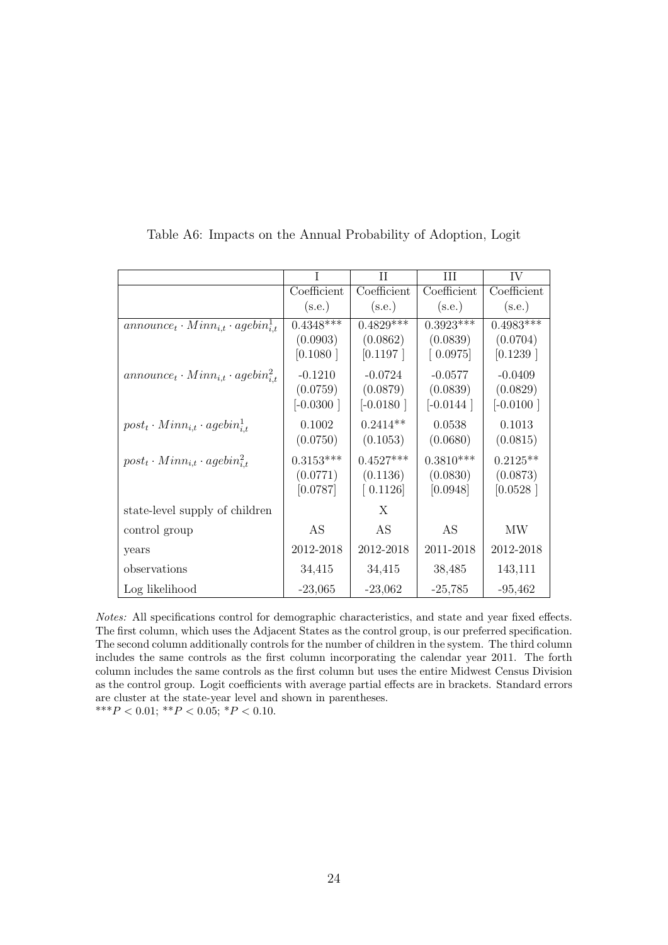|                                                    |             | Н           | Ш           | IV          |
|----------------------------------------------------|-------------|-------------|-------------|-------------|
|                                                    | Coefficient | Coefficient | Coefficient | Coefficient |
|                                                    | (s.e.)      | (s.e.)      | (s.e.)      | (s.e.)      |
| $announce_t \cdot Minn_{i,t} \cdot agebin_{i,t}^1$ | $0.4348***$ | $0.4829***$ | $0.3923***$ | $0.4983***$ |
|                                                    | (0.0903)    | (0.0862)    | (0.0839)    | (0.0704)    |
|                                                    | [0.1080]    | [0.1197]    | [0.0975]    | [0.1239]    |
| $announce_t \cdot Min_{i,t} \cdot agebin_{i,t}^2$  | $-0.1210$   | $-0.0724$   | $-0.0577$   | $-0.0409$   |
|                                                    | (0.0759)    | (0.0879)    | (0.0839)    | (0.0829)    |
|                                                    | $[-0.0300]$ | $[-0.0180]$ | $[-0.0144]$ | $[-0.0100]$ |
| $post_t \cdot Min_{i,t} \cdot agebin_{i,t}^1$      | 0.1002      | $0.2414**$  | 0.0538      | 0.1013      |
|                                                    | (0.0750)    | (0.1053)    | (0.0680)    | (0.0815)    |
| $post_t \cdot Min_{i,t} \cdot agebin_{i,t}^2$      | $0.3153***$ | $0.4527***$ | $0.3810***$ | $0.2125**$  |
|                                                    | (0.0771)    | (0.1136)    | (0.0830)    | (0.0873)    |
|                                                    | [0.0787]    | [0.1126]    | [0.0948]    | [0.0528]    |
| state-level supply of children                     |             | X           |             |             |
| control group                                      | AS          | AS          | AS          | MW          |
| years                                              | 2012-2018   | 2012-2018   | 2011-2018   | 2012-2018   |
| observations                                       | 34,415      | 34,415      | 38,485      | 143,111     |
| Log likelihood                                     | $-23,065$   | $-23,062$   | $-25,785$   | $-95,462$   |

<span id="page-23-0"></span>Table A6: Impacts on the Annual Probability of Adoption, Logit

Notes: All specifications control for demographic characteristics, and state and year fixed effects. The first column, which uses the Adjacent States as the control group, is our preferred specification. The second column additionally controls for the number of children in the system. The third column includes the same controls as the first column incorporating the calendar year 2011. The forth column includes the same controls as the first column but uses the entire Midwest Census Division as the control group. Logit coefficients with average partial effects are in brackets. Standard errors are cluster at the state-year level and shown in parentheses.

\*\*\* $P < 0.01$ ; \*\* $P < 0.05$ ; \* $P < 0.10$ .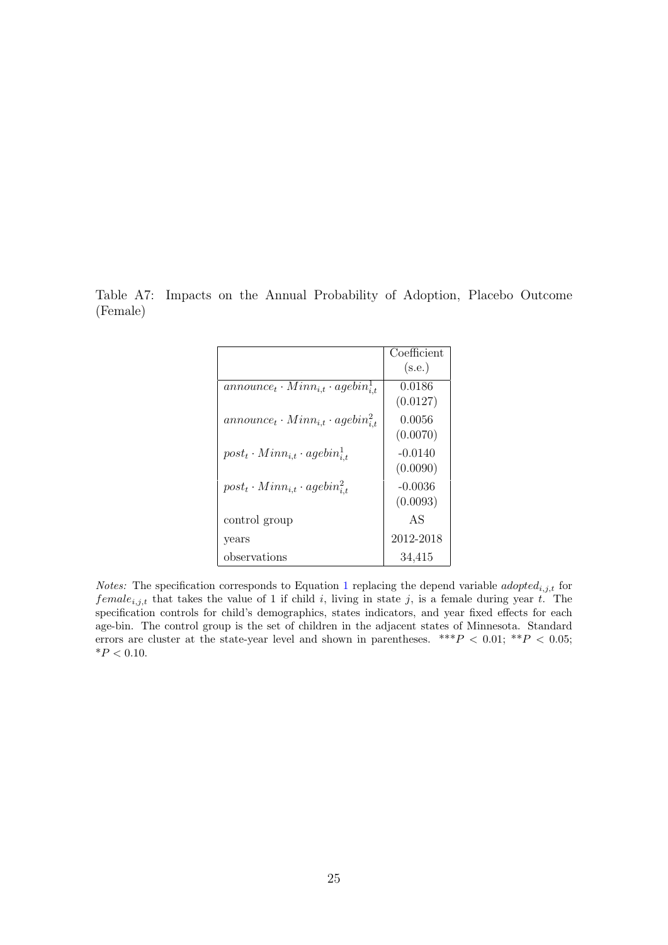<span id="page-24-0"></span>Table A7: Impacts on the Annual Probability of Adoption, Placebo Outcome (Female)

|                                                   | Coefficient |
|---------------------------------------------------|-------------|
|                                                   | (s.e.)      |
| $announce_t \cdot Min_{i,t} \cdot agebin_{i,t}^1$ | 0.0186      |
|                                                   | (0.0127)    |
| $announce_t \cdot Min_{i,t} \cdot agebin_{i,t}^2$ | 0.0056      |
|                                                   | (0.0070)    |
| $post_t \cdot Min_{i,t} \cdot agebin_{i,t}^1$     | $-0.0140$   |
|                                                   | (0.0090)    |
| $post_t \cdot Min_{i,t} \cdot agebin_{i,t}^2$     | $-0.0036$   |
|                                                   | (0.0093)    |
| control group                                     | AS          |
| years                                             | 2012-2018   |
| observations                                      | 34,415      |

*Notes:* The specification corresponds to Equation [1](#page-10-1) replacing the depend variable *adopted*<sub>i,j,t</sub> for female<sub>i,j,t</sub> that takes the value of 1 if child i, living in state j, is a female during year t. The specification controls for child's demographics, states indicators, and year fixed effects for each age-bin. The control group is the set of children in the adjacent states of Minnesota. Standard errors are cluster at the state-year level and shown in parentheses. \*\*\* $P$  < 0.01; \*\* $P$  < 0.05;  ${}^*P<0.10.$